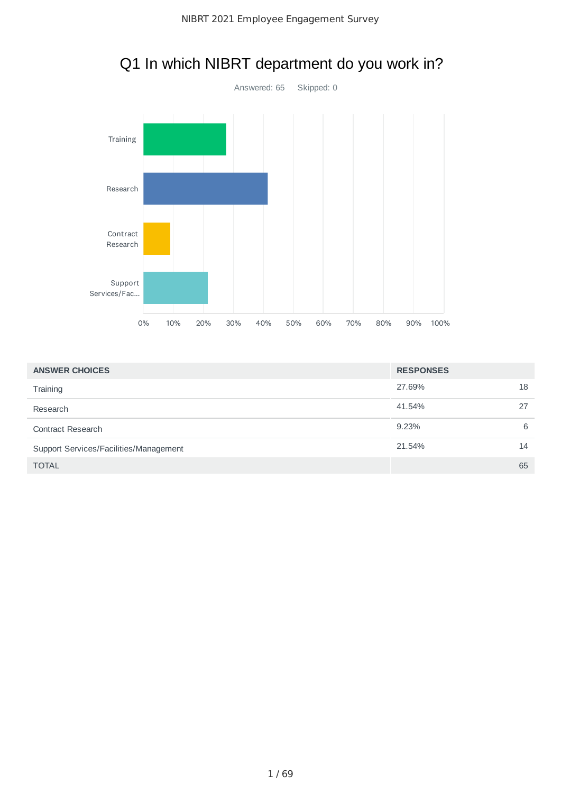

# Q1 In which NIBRT department do you work in?

| <b>ANSWER CHOICES</b>                  | <b>RESPONSES</b> |    |
|----------------------------------------|------------------|----|
| Training                               | 27.69%           | 18 |
| Research                               | 41.54%           | 27 |
| <b>Contract Research</b>               | 9.23%            | 6  |
| Support Services/Facilities/Management | 21.54%           | 14 |
| <b>TOTAL</b>                           |                  | 65 |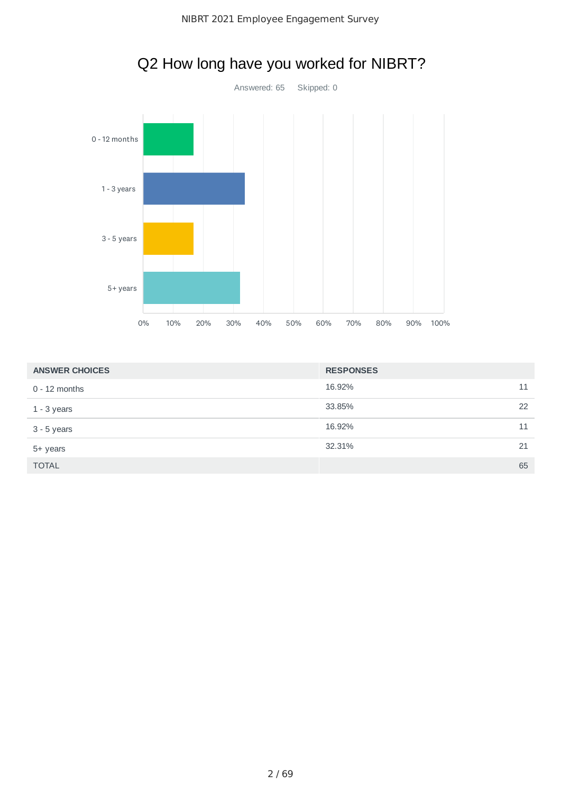



# Q2 How long have you worked for NIBRT?

| <b>ANSWER CHOICES</b> | <b>RESPONSES</b> |    |
|-----------------------|------------------|----|
| $0 - 12$ months       | 16.92%           | 11 |
| $1 - 3$ years         | 33.85%           | 22 |
| $3 - 5$ years         | 16.92%           | 11 |
| 5+ years              | 32.31%           | 21 |
| <b>TOTAL</b>          |                  | 65 |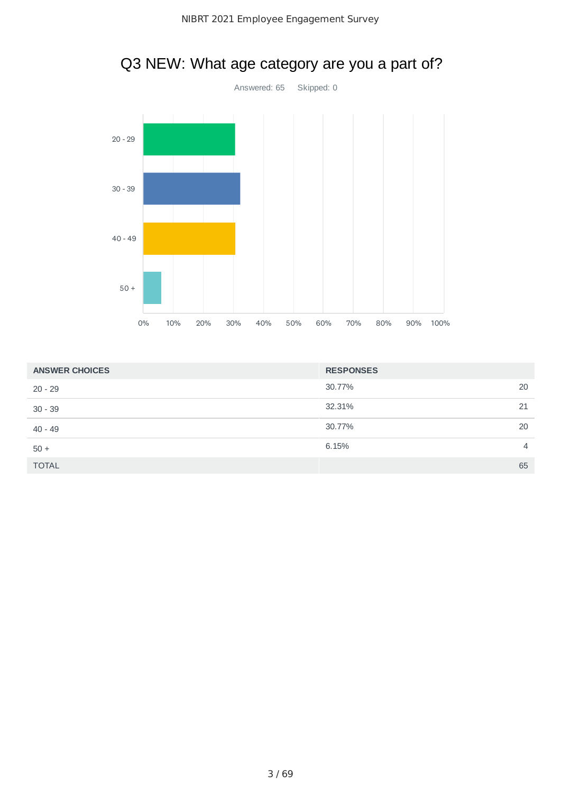

# Q3 NEW: What age category are you a part of?

| <b>ANSWER CHOICES</b> | <b>RESPONSES</b> |    |
|-----------------------|------------------|----|
| $20 - 29$             | 30.77%           | 20 |
| $30 - 39$             | 32.31%           | 21 |
| $40 - 49$             | 30.77%           | 20 |
| $50 +$                | 6.15%            | 4  |
| <b>TOTAL</b>          |                  | 65 |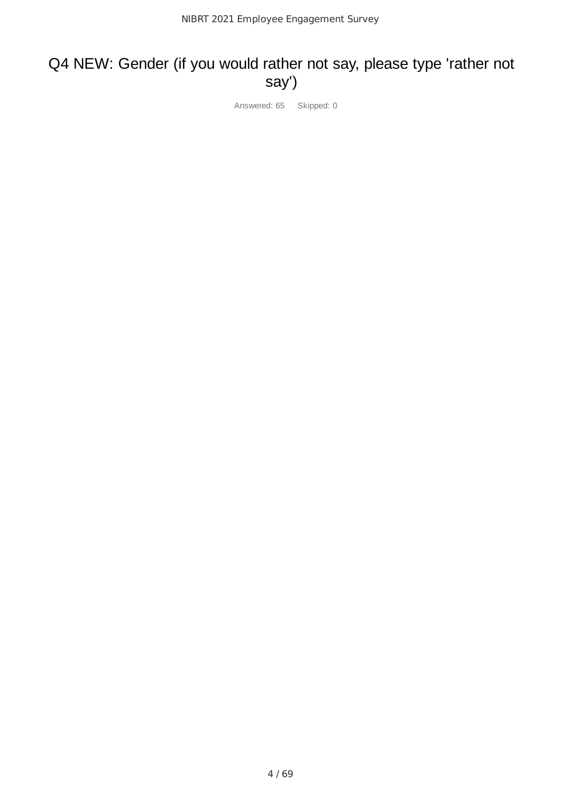## Q4 NEW: Gender (if you would rather not say, please type 'rather not say')

Answered: 65 Skipped: 0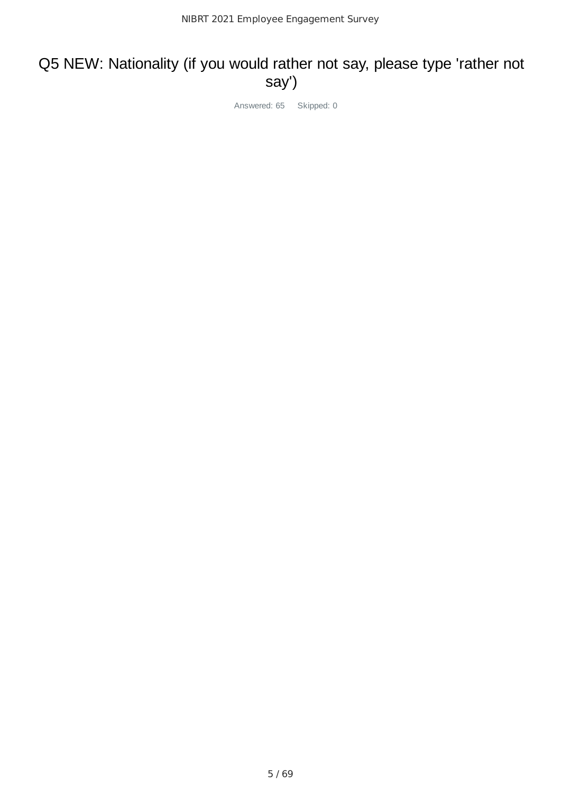### Q5 NEW: Nationality (if you would rather not say, please type 'rather not say')

Answered: 65 Skipped: 0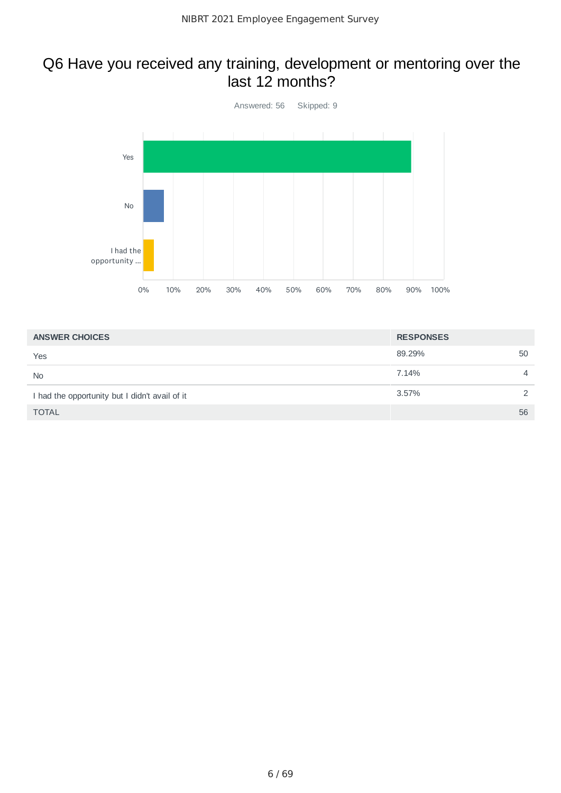#### Q6 Have you received any training, development or mentoring over the last 12 months?



| <b>ANSWER CHOICES</b>                          | <b>RESPONSES</b> |                |
|------------------------------------------------|------------------|----------------|
| Yes                                            | 89.29%           | 50             |
| <b>No</b>                                      | 7.14%            | $\overline{4}$ |
| I had the opportunity but I didn't avail of it | 3.57%            | $\mathcal{D}$  |
| <b>TOTAL</b>                                   |                  | 56             |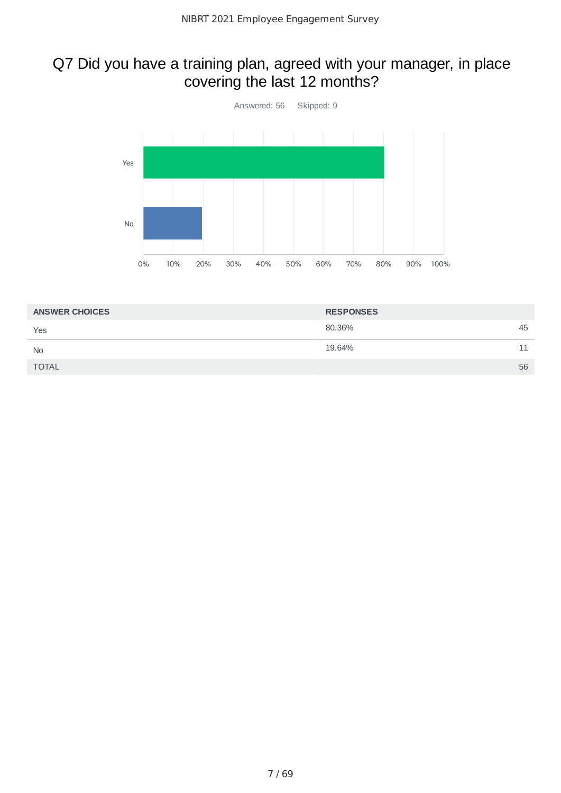### Q7 Did you have a training plan, agreed with your manager, in place covering the last 12 months?



| <b>ANSWER CHOICES</b> | <b>RESPONSES</b> |    |
|-----------------------|------------------|----|
| Yes                   | 80.36%           | 45 |
| <b>No</b>             | 19.64%           | 11 |
| <b>TOTAL</b>          |                  | 56 |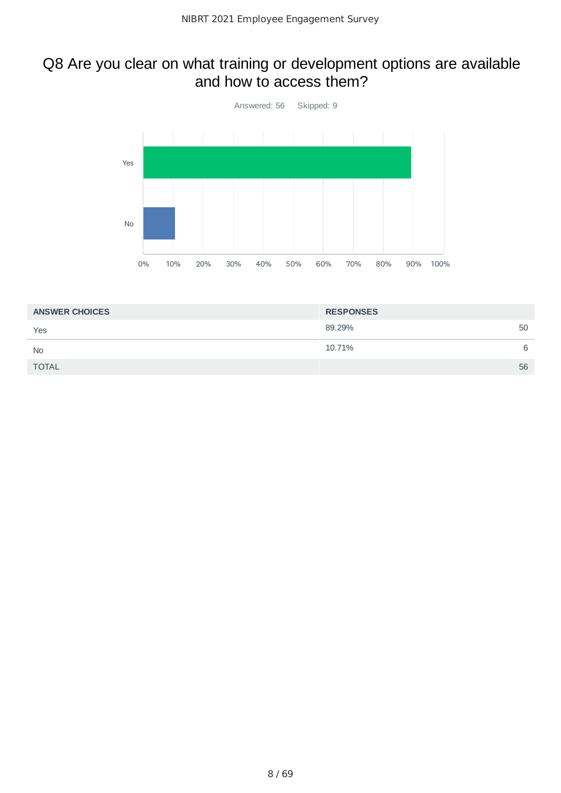### Q8 Are you clear on what training or development options are available and how to access them?



| <b>ANSWER CHOICES</b> | <b>RESPONSES</b> |   |
|-----------------------|------------------|---|
| Yes                   | 89.29%<br>50     |   |
| <b>No</b>             | 10.71%           | 6 |
| <b>TOTAL</b>          | 56               |   |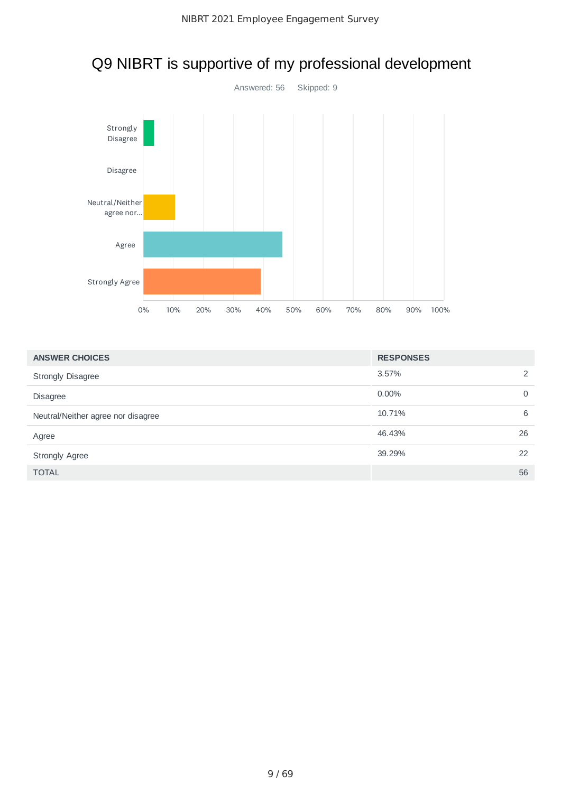

# Q9 NIBRT is supportive of my professional development

| <b>ANSWER CHOICES</b>              | <b>RESPONSES</b> |             |
|------------------------------------|------------------|-------------|
| <b>Strongly Disagree</b>           | 3.57%            | 2           |
| <b>Disagree</b>                    | $0.00\%$         | $\mathbf 0$ |
| Neutral/Neither agree nor disagree | 10.71%           | 6           |
| Agree                              | 46.43%           | 26          |
| <b>Strongly Agree</b>              | 39.29%           | 22          |
| <b>TOTAL</b>                       |                  | 56          |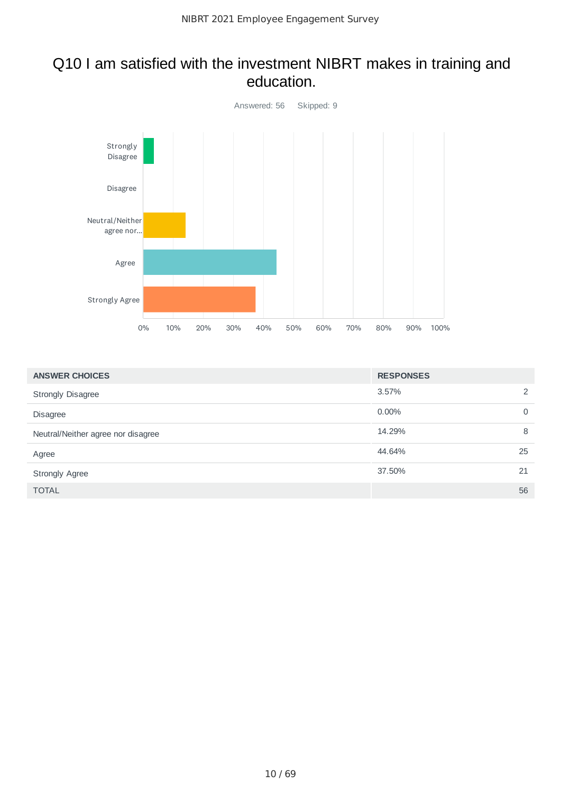#### Q10 I am satisfied with the investment NIBRT makes in training and education.



| <b>ANSWER CHOICES</b>              | <b>RESPONSES</b> |             |
|------------------------------------|------------------|-------------|
| <b>Strongly Disagree</b>           | 3.57%            | 2           |
| <b>Disagree</b>                    | 0.00%            | $\mathbf 0$ |
| Neutral/Neither agree nor disagree | 14.29%           | 8           |
| Agree                              | 44.64%           | 25          |
| <b>Strongly Agree</b>              | 37.50%           | 21          |
| <b>TOTAL</b>                       |                  | 56          |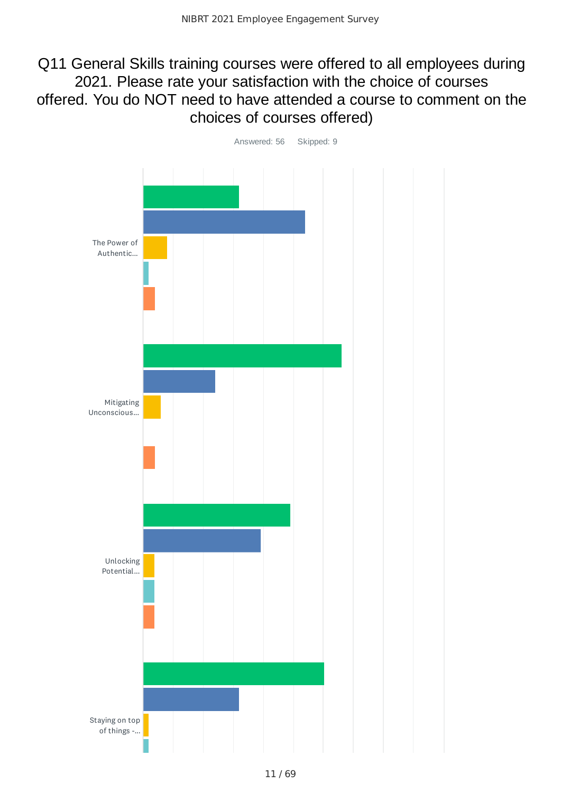#### Q11 General Skills training courses were offered to all employees during 2021. Please rate your satisfaction with the choice of courses offered. You do NOT need to have attended a course to comment on the choices of courses offered)

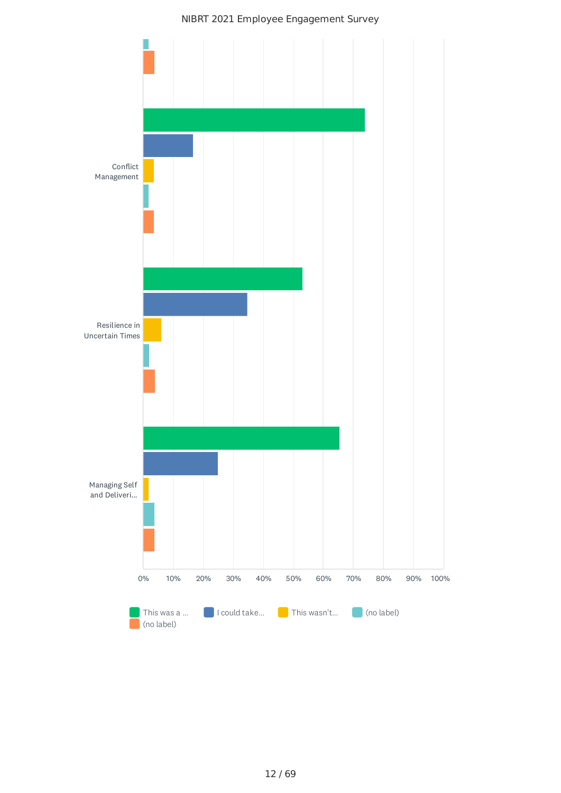#### NIBRT 2021 Employee Engagement Survey

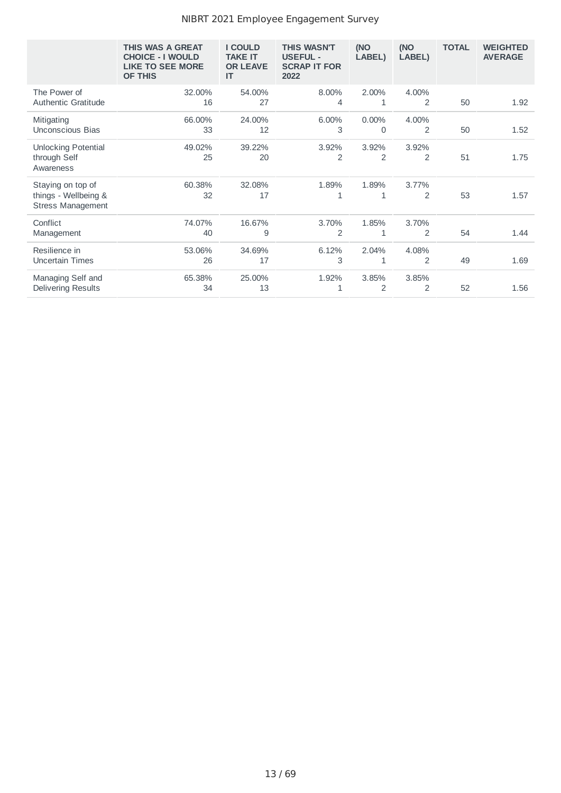#### NIBRT 2021 Employee Engagement Survey

|                                                                       | THIS WAS A GREAT<br><b>CHOICE - I WOULD</b><br><b>LIKE TO SEE MORE</b><br><b>OF THIS</b> | <b>I COULD</b><br><b>TAKE IT</b><br><b>OR LEAVE</b><br>IT | <b>THIS WASN'T</b><br><b>USEFUL -</b><br><b>SCRAP IT FOR</b><br>2022 | (NO<br>LABEL)           | (NO<br>LABEL)           | <b>TOTAL</b> | <b>WEIGHTED</b><br><b>AVERAGE</b> |
|-----------------------------------------------------------------------|------------------------------------------------------------------------------------------|-----------------------------------------------------------|----------------------------------------------------------------------|-------------------------|-------------------------|--------------|-----------------------------------|
| The Power of<br><b>Authentic Gratitude</b>                            | 32.00%<br>16                                                                             | 54.00%<br>27                                              | 8.00%<br>4                                                           | 2.00%<br>1              | 4.00%<br>$\overline{2}$ | 50           | 1.92                              |
| Mitigating<br>Unconscious Bias                                        | 66.00%<br>33                                                                             | 24.00%<br>12                                              | 6.00%<br>3                                                           | 0.00%<br>$\Omega$       | 4.00%<br>$\overline{2}$ | 50           | 1.52                              |
| <b>Unlocking Potential</b><br>through Self<br>Awareness               | 49.02%<br>25                                                                             | 39.22%<br>20                                              | 3.92%<br>2                                                           | 3.92%<br>$\overline{2}$ | 3.92%<br>$\overline{2}$ | 51           | 1.75                              |
| Staying on top of<br>things - Wellbeing &<br><b>Stress Management</b> | 60.38%<br>32                                                                             | 32.08%<br>17                                              | 1.89%<br>1                                                           | 1.89%<br>1              | 3.77%<br>$\overline{2}$ | 53           | 1.57                              |
| Conflict<br>Management                                                | 74.07%<br>40                                                                             | 16.67%<br>9                                               | 3.70%<br>$\overline{2}$                                              | 1.85%<br>$\mathbf{1}$   | 3.70%<br>$\overline{2}$ | 54           | 1.44                              |
| Resilience in<br>Uncertain Times                                      | 53.06%<br>26                                                                             | 34.69%<br>17                                              | 6.12%<br>3                                                           | 2.04%<br>1              | 4.08%<br>$\overline{2}$ | 49           | 1.69                              |
| Managing Self and<br>Delivering Results                               | 65.38%<br>34                                                                             | 25.00%<br>13                                              | 1.92%<br>1                                                           | 3.85%<br>$\overline{2}$ | 3.85%<br>$\overline{2}$ | 52           | 1.56                              |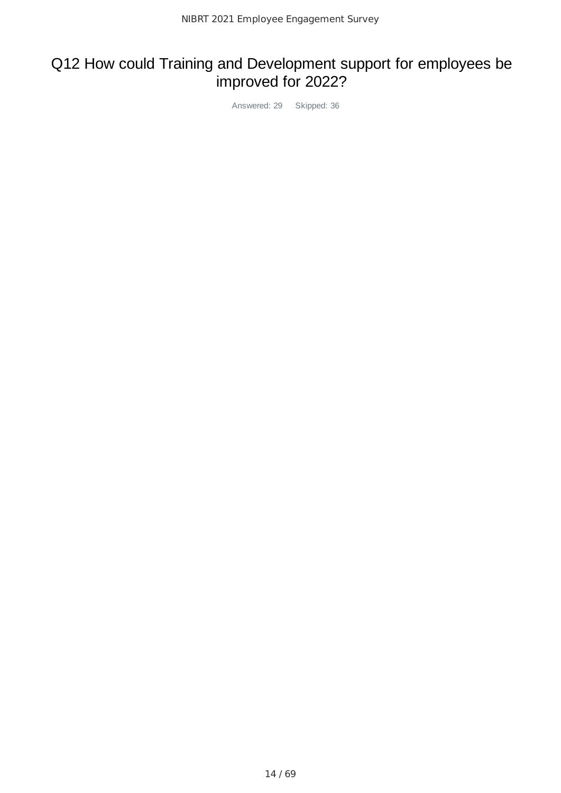# Q12 How could Training and Development support for employees be improved for 2022?

Answered: 29 Skipped: 36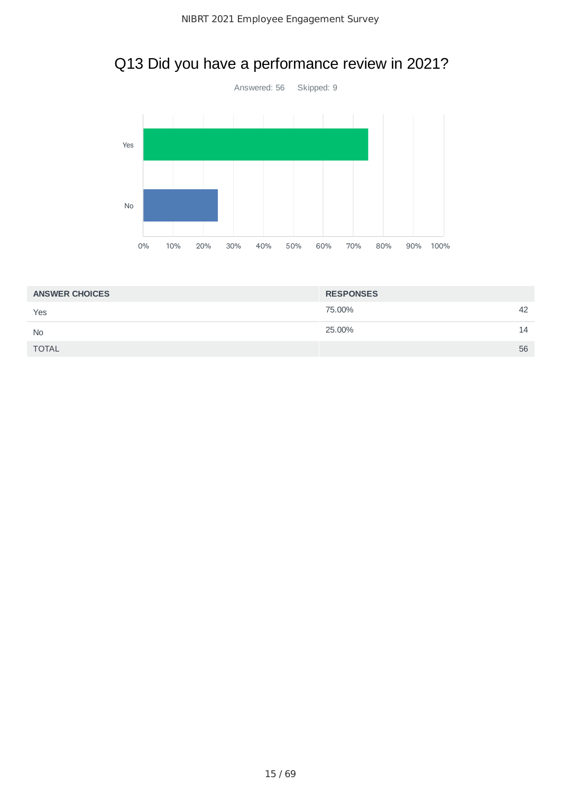# Q13 Did you have a performance review in 2021?



| <b>ANSWER CHOICES</b> | <b>RESPONSES</b> |    |
|-----------------------|------------------|----|
| Yes                   | 75.00%           | 42 |
| <b>No</b>             | 25.00%           | 14 |
| <b>TOTAL</b>          |                  | 56 |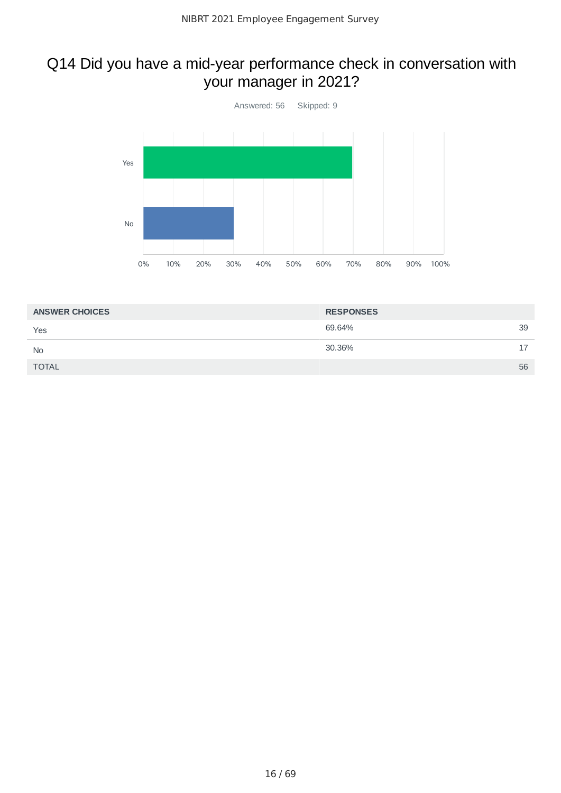## Q14 Did you have a mid-year performance check in conversation with your manager in 2021?



| <b>ANSWER CHOICES</b> | <b>RESPONSES</b> |                |
|-----------------------|------------------|----------------|
| Yes                   | 69.64%           | 39             |
| <b>No</b>             | 30.36%           | 17<br><b>.</b> |
| <b>TOTAL</b>          |                  | 56             |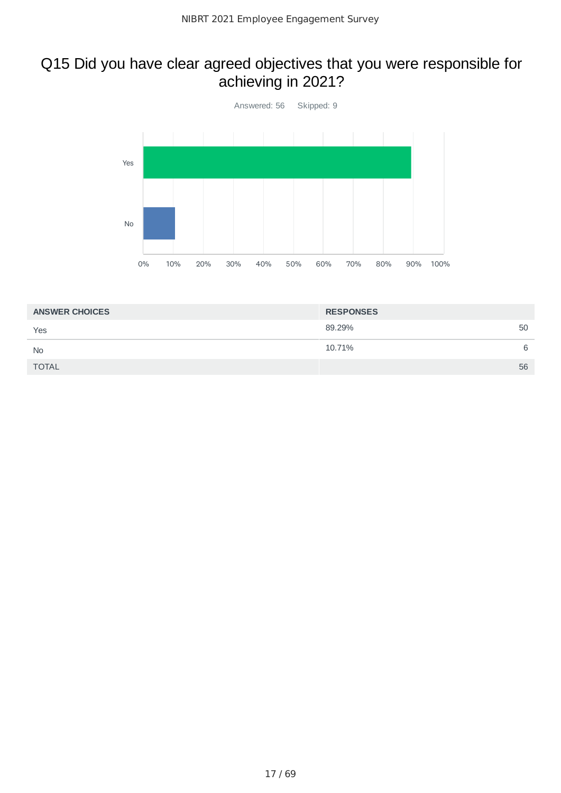### Q15 Did you have clear agreed objectives that you were responsible for achieving in 2021?



| <b>ANSWER CHOICES</b> | <b>RESPONSES</b> |   |
|-----------------------|------------------|---|
| Yes                   | 89.29%<br>50     |   |
| <b>No</b>             | 10.71%           | 6 |
| <b>TOTAL</b>          | 56               |   |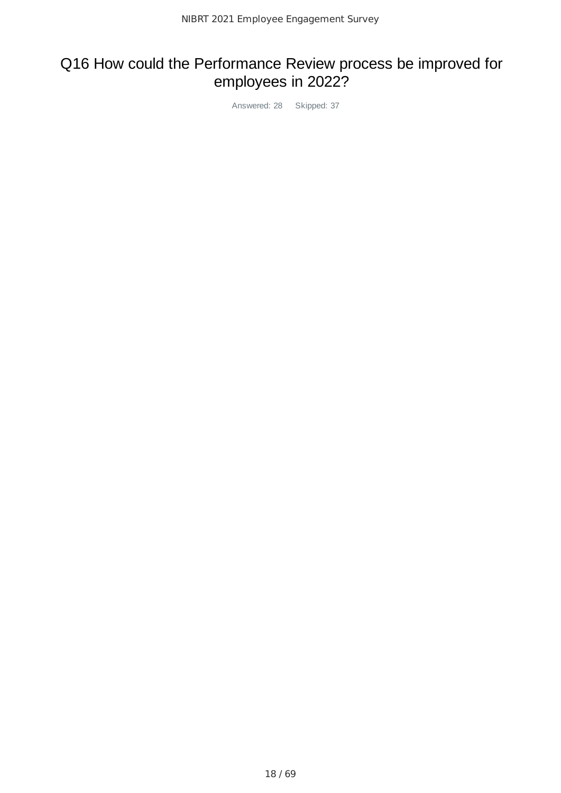# Q16 How could the Performance Review process be improved for employees in 2022?

Answered: 28 Skipped: 37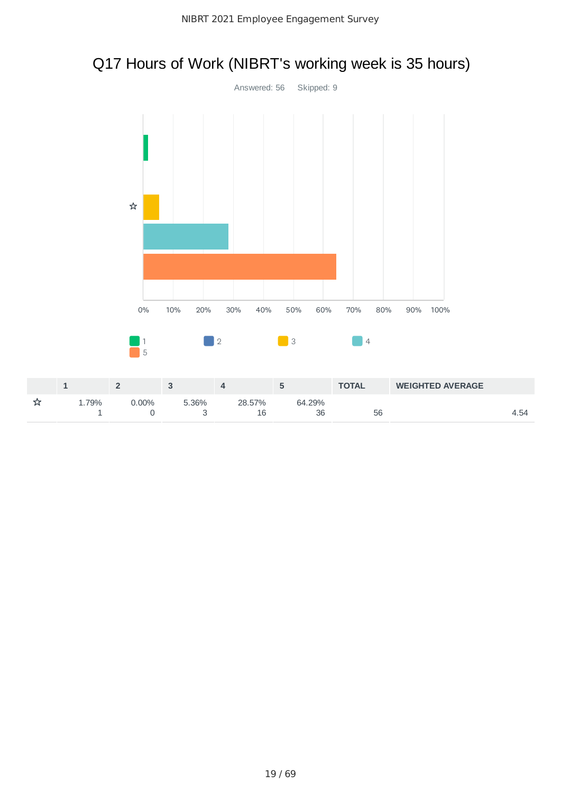# Q17 Hours of Work (NIBRT's working week is 35 hours)

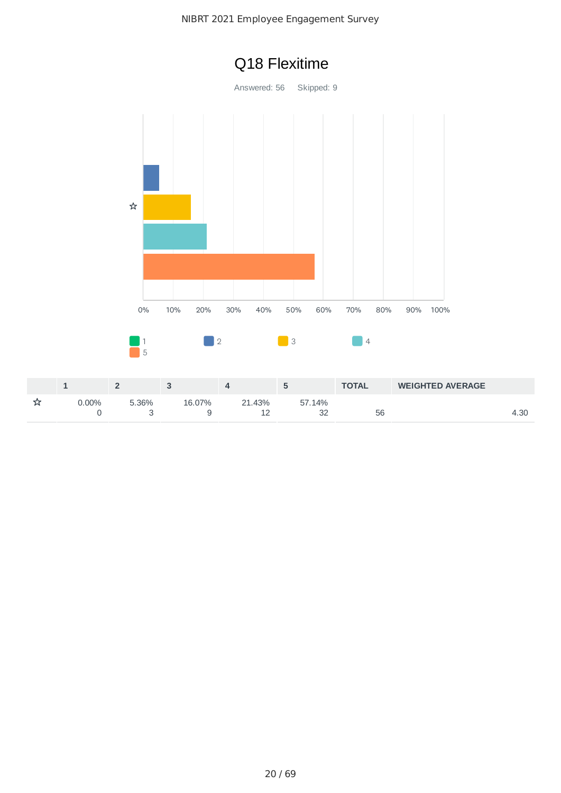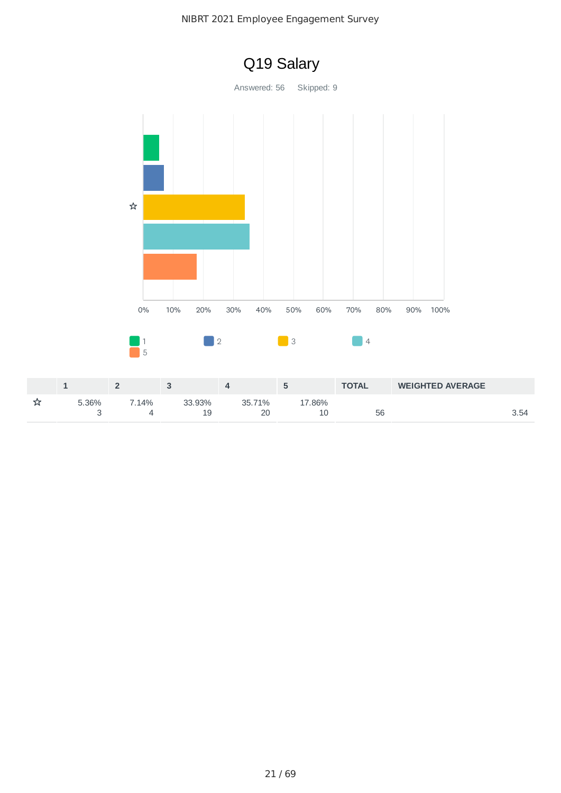

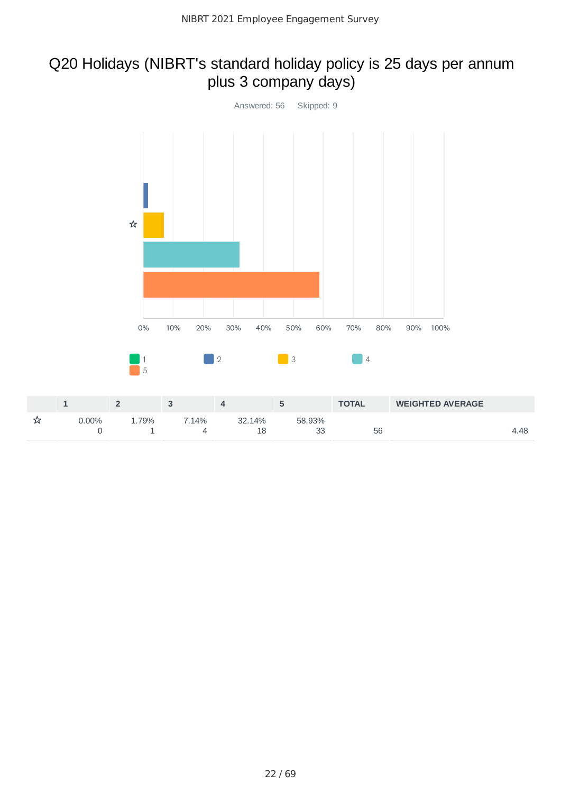### Q20 Holidays (NIBRT's standard holiday policy is 25 days per annum plus 3 company days)

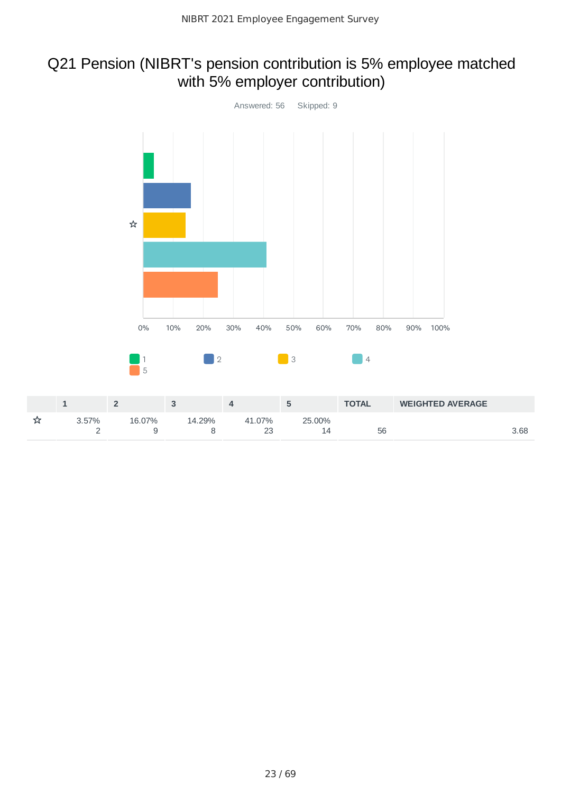### Q21 Pension (NIBRT's pension contribution is 5% employee matched with 5% employer contribution)

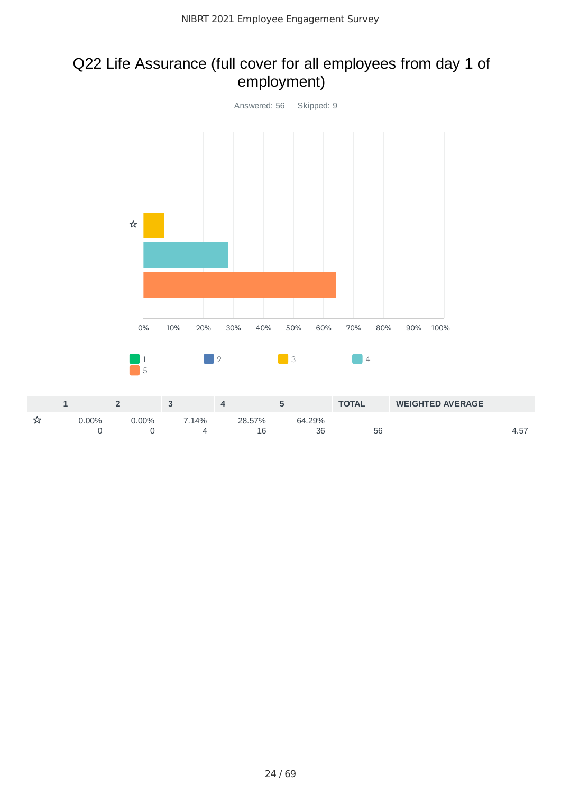### Q22 Life Assurance (full cover for all employees from day 1 of employment)

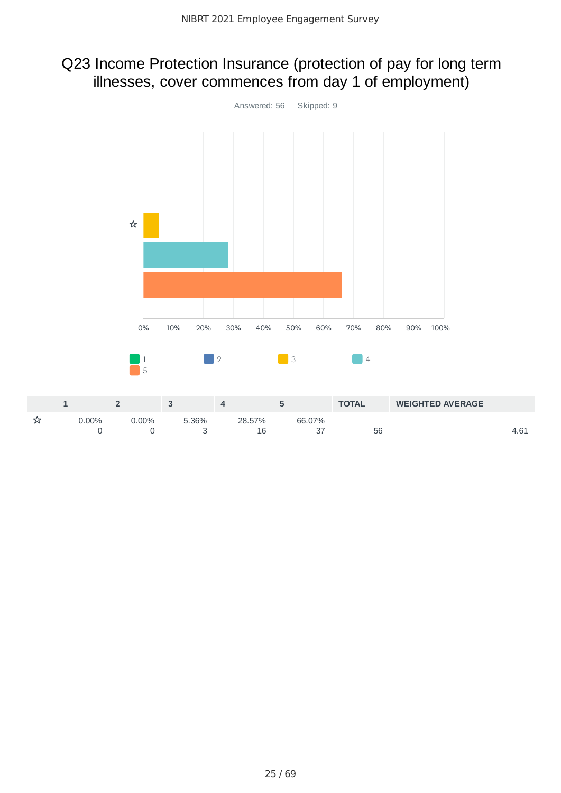### Q23 Income Protection Insurance (protection of pay for long term illnesses, cover commences from day 1 of employment)

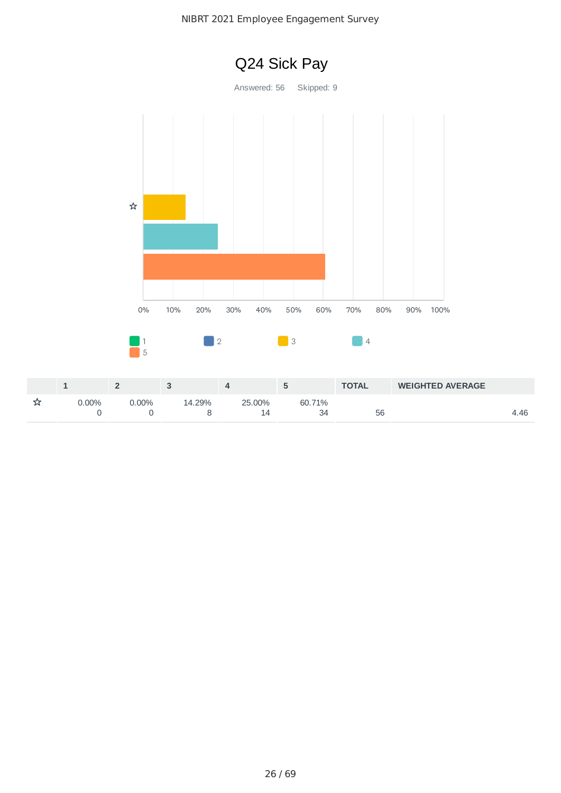

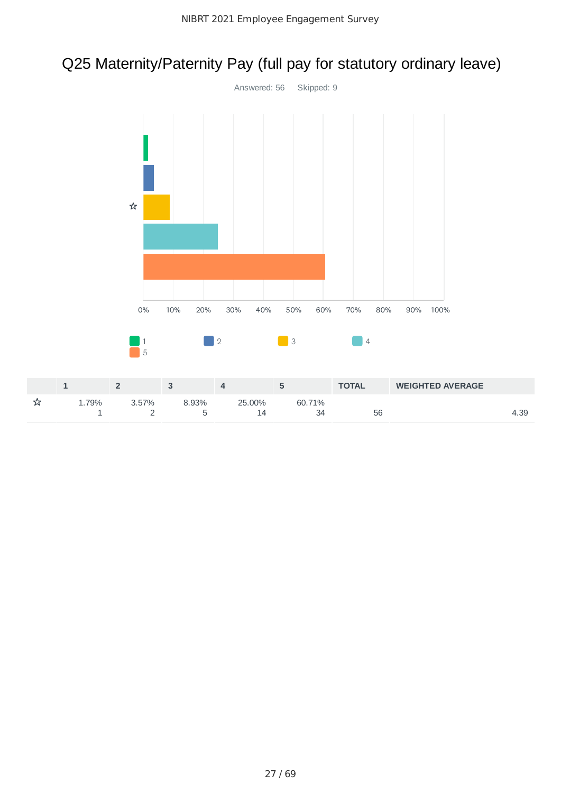# Q25 Maternity/Paternity Pay (full pay for statutory ordinary leave)

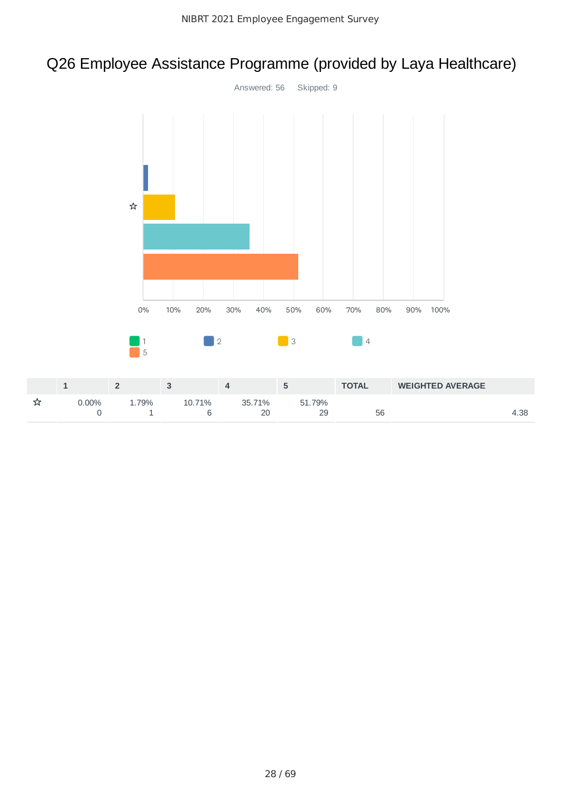# Q26 Employee Assistance Programme (provided by Laya Healthcare)

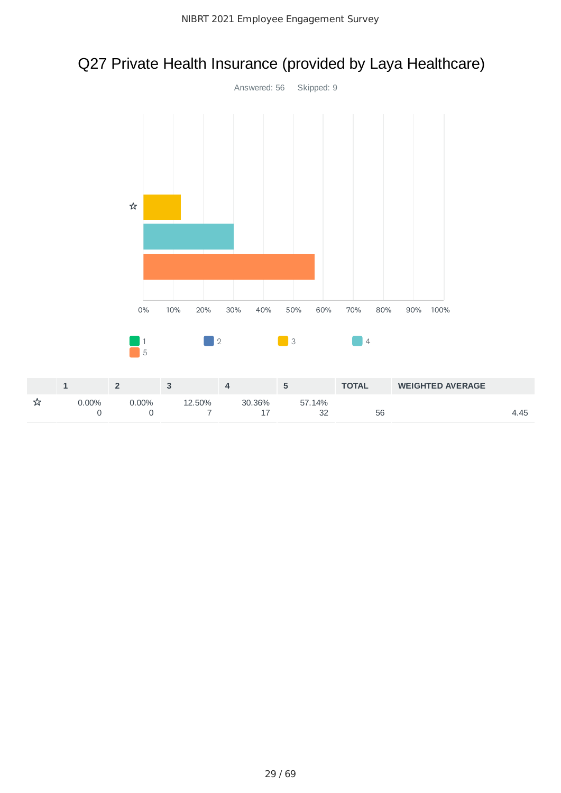# Q27 Private Health Insurance (provided by Laya Healthcare)

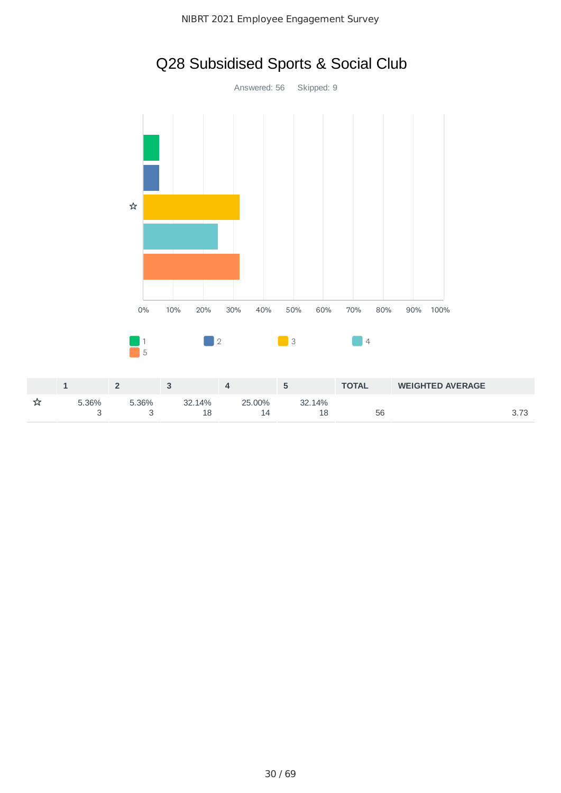

# Q28 Subsidised Sports & Social Club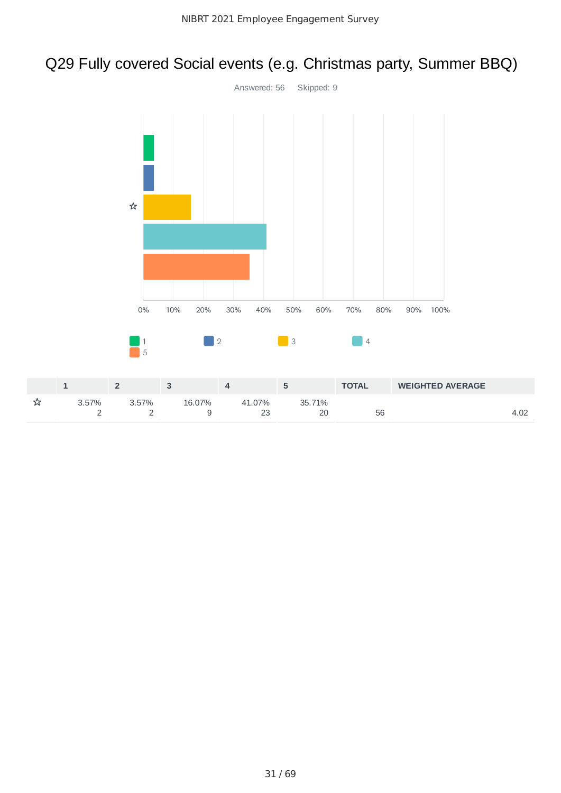# Q29 Fully covered Social events (e.g. Christmas party, Summer BBQ)

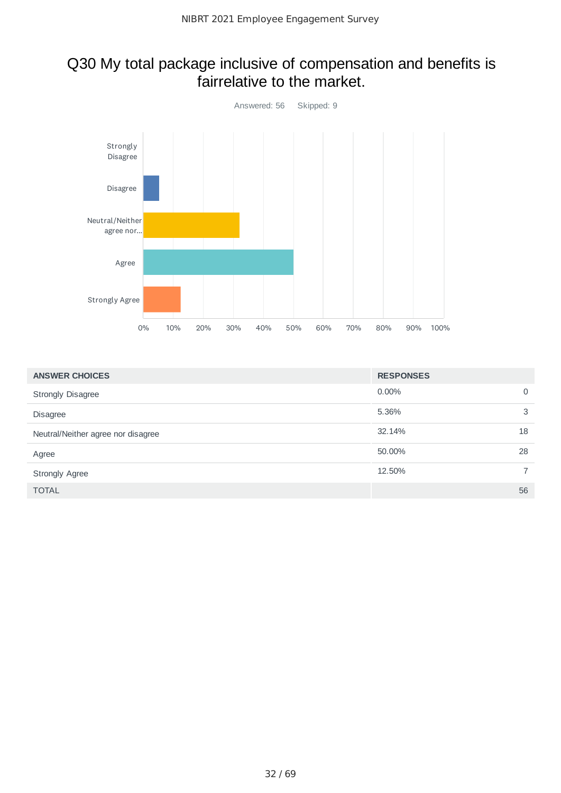#### Q30 My total package inclusive of compensation and benefits is fairrelative to the market.



| <b>ANSWER CHOICES</b>              | <b>RESPONSES</b> |                |
|------------------------------------|------------------|----------------|
| <b>Strongly Disagree</b>           | 0.00%            | $\mathbf 0$    |
| <b>Disagree</b>                    | 5.36%            | 3              |
| Neutral/Neither agree nor disagree | 32.14%           | 18             |
| Agree                              | 50.00%           | 28             |
| <b>Strongly Agree</b>              | 12.50%           | $\overline{7}$ |
| <b>TOTAL</b>                       |                  | 56             |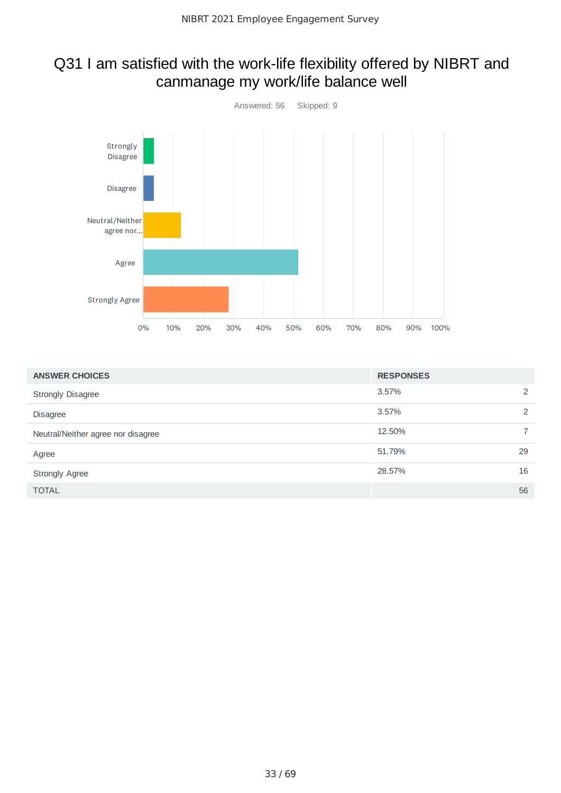## Q31 I am satisfied with the work-life flexibility offered by NIBRT and canmanage my work/life balance well



| <b>ANSWER CHOICES</b>              | <b>RESPONSES</b> |    |
|------------------------------------|------------------|----|
| <b>Strongly Disagree</b>           | 3.57%            | 2  |
| <b>Disagree</b>                    | 3.57%            | 2  |
| Neutral/Neither agree nor disagree | 12.50%           |    |
| Agree                              | 51.79%           | 29 |
| <b>Strongly Agree</b>              | 28.57%           | 16 |
| <b>TOTAL</b>                       |                  | 56 |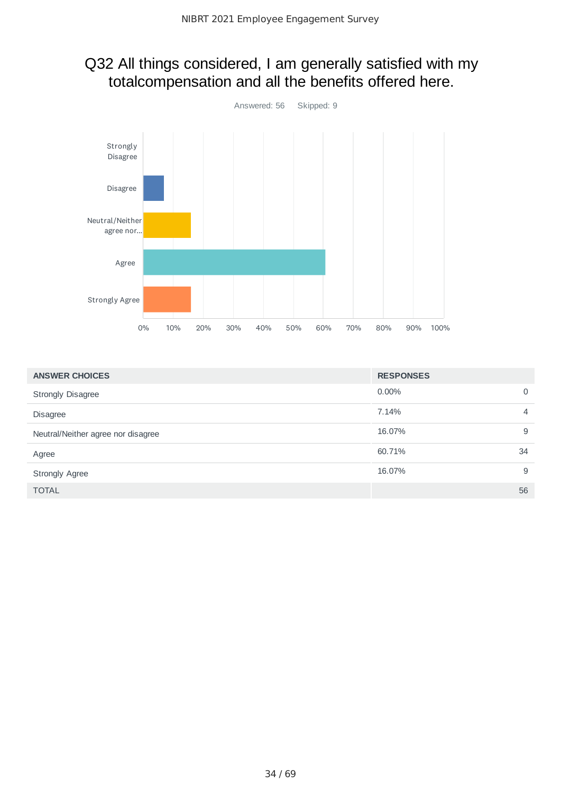### Q32 All things considered, I am generally satisfied with my totalcompensation and all the benefits offered here.



| <b>ANSWER CHOICES</b>              | <b>RESPONSES</b>        |
|------------------------------------|-------------------------|
| <b>Strongly Disagree</b>           | $0.00\%$<br>0           |
| <b>Disagree</b>                    | 7.14%<br>$\overline{4}$ |
| Neutral/Neither agree nor disagree | 16.07%<br>9             |
| Agree                              | 60.71%<br>34            |
| <b>Strongly Agree</b>              | 16.07%<br>9             |
| <b>TOTAL</b>                       | 56                      |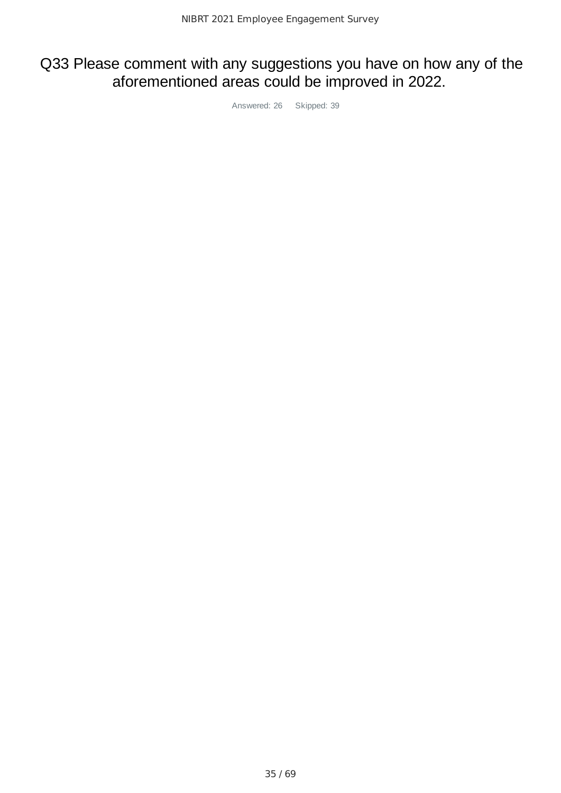### Q33 Please comment with any suggestions you have on how any of the aforementioned areas could be improved in 2022.

Answered: 26 Skipped: 39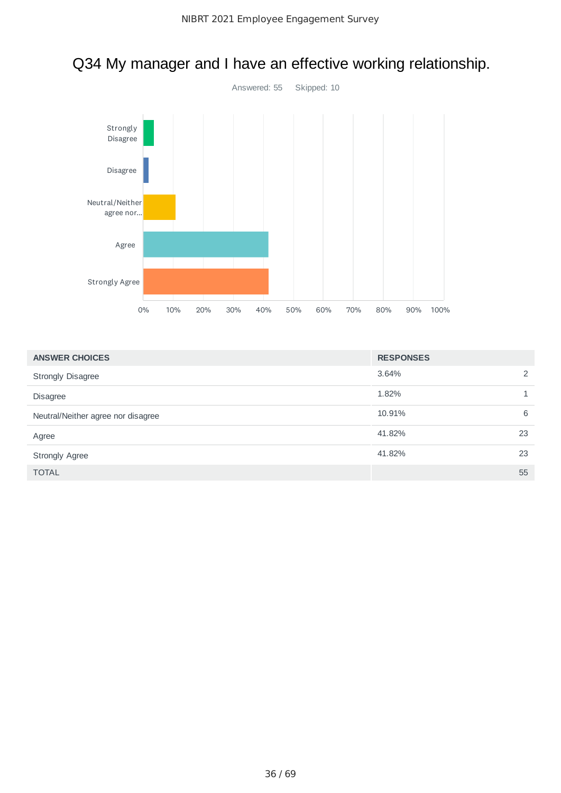

# Q34 My manager and I have an effective working relationship.

| <b>ANSWER CHOICES</b>              | <b>RESPONSES</b> |    |
|------------------------------------|------------------|----|
| <b>Strongly Disagree</b>           | 3.64%            | 2  |
| <b>Disagree</b>                    | 1.82%            |    |
| Neutral/Neither agree nor disagree | 10.91%           | 6  |
| Agree                              | 41.82%           | 23 |
| <b>Strongly Agree</b>              | 41.82%           | 23 |
| <b>TOTAL</b>                       |                  | 55 |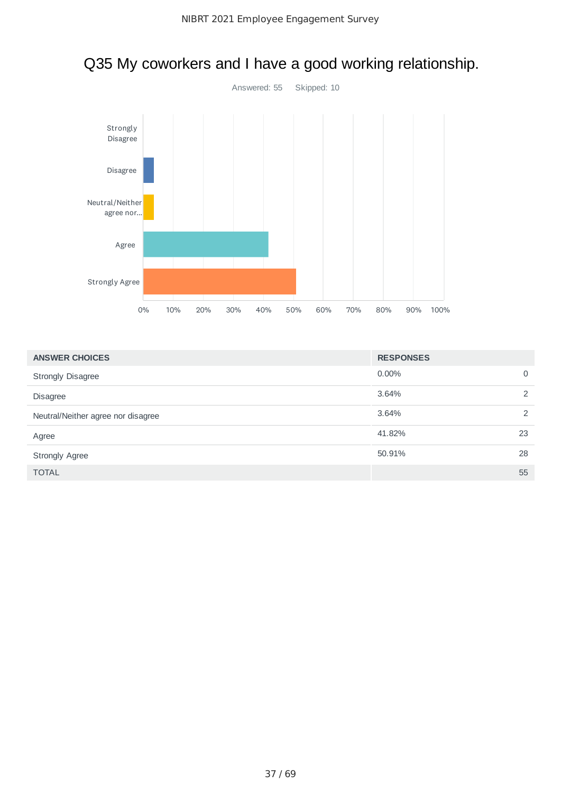

# Q35 My coworkers and I have a good working relationship.

| <b>ANSWER CHOICES</b>              | <b>RESPONSES</b> |             |
|------------------------------------|------------------|-------------|
| <b>Strongly Disagree</b>           | $0.00\%$         | $\mathbf 0$ |
| <b>Disagree</b>                    | 3.64%            | 2           |
| Neutral/Neither agree nor disagree | 3.64%            | 2           |
| Agree                              | 41.82%           | 23          |
| <b>Strongly Agree</b>              | 50.91%           | 28          |
| <b>TOTAL</b>                       |                  | 55          |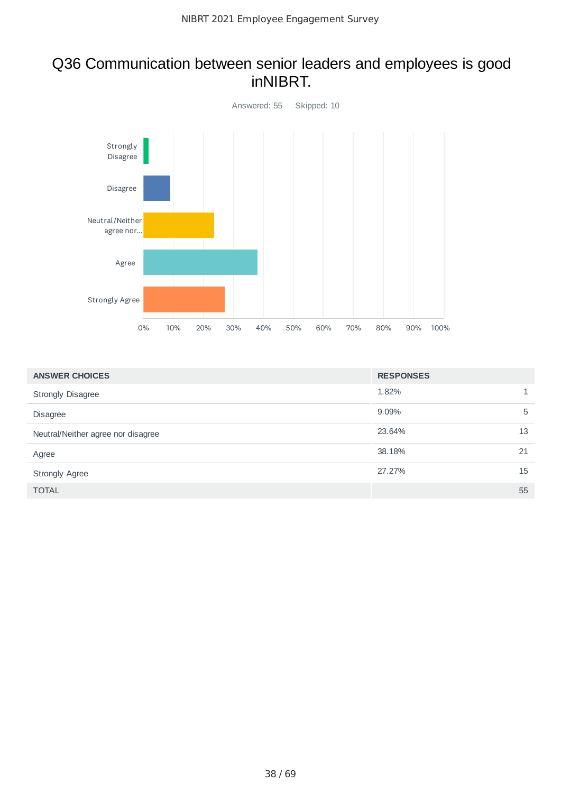#### Q36 Communication between senior leaders and employees is good inNIBRT.



| <b>ANSWER CHOICES</b>              | <b>RESPONSES</b> |    |
|------------------------------------|------------------|----|
| <b>Strongly Disagree</b>           | 1.82%            |    |
| <b>Disagree</b>                    | 9.09%            | 5  |
| Neutral/Neither agree nor disagree | 23.64%           | 13 |
| Agree                              | 38.18%           | 21 |
| <b>Strongly Agree</b>              | 27.27%           | 15 |
| <b>TOTAL</b>                       |                  | 55 |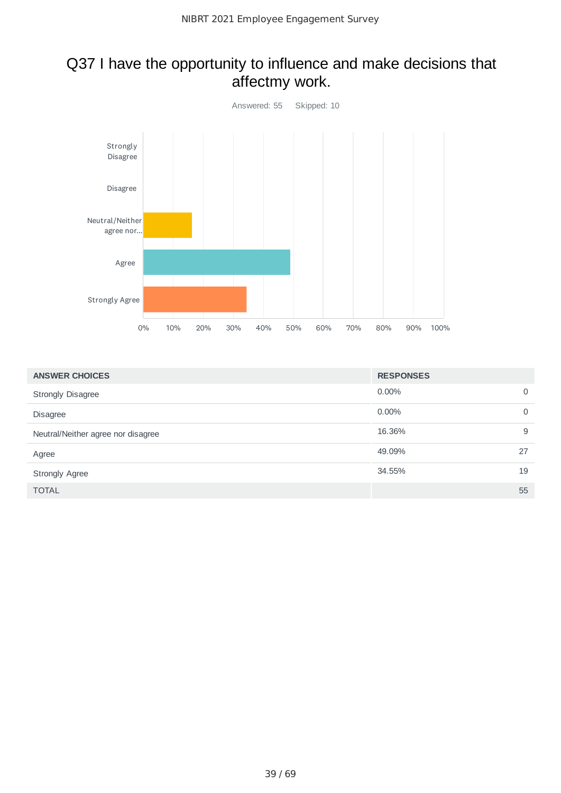## Q37 I have the opportunity to influence and make decisions that affectmy work.



| <b>ANSWER CHOICES</b>              | <b>RESPONSES</b> |             |
|------------------------------------|------------------|-------------|
| <b>Strongly Disagree</b>           | $0.00\%$         | $\mathbf 0$ |
| <b>Disagree</b>                    | 0.00%            | $\mathbf 0$ |
| Neutral/Neither agree nor disagree | 16.36%           | 9           |
| Agree                              | 49.09%           | 27          |
| <b>Strongly Agree</b>              | 34.55%           | 19          |
| <b>TOTAL</b>                       |                  | 55          |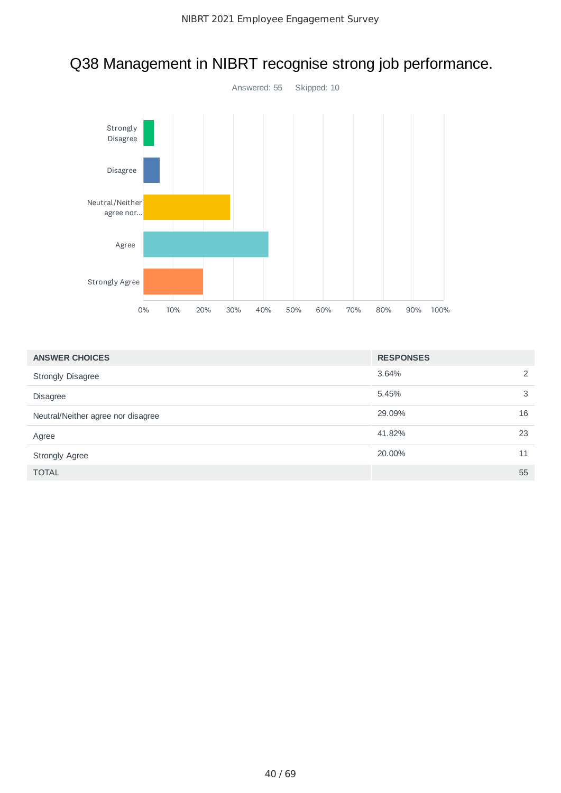

# Q38 Management in NIBRT recognise strong job performance.

| <b>ANSWER CHOICES</b>              | <b>RESPONSES</b> |    |
|------------------------------------|------------------|----|
| <b>Strongly Disagree</b>           | 3.64%            | 2  |
| <b>Disagree</b>                    | 5.45%            | 3  |
| Neutral/Neither agree nor disagree | 29.09%           | 16 |
| Agree                              | 41.82%           | 23 |
| <b>Strongly Agree</b>              | 20.00%           | 11 |
| <b>TOTAL</b>                       |                  | 55 |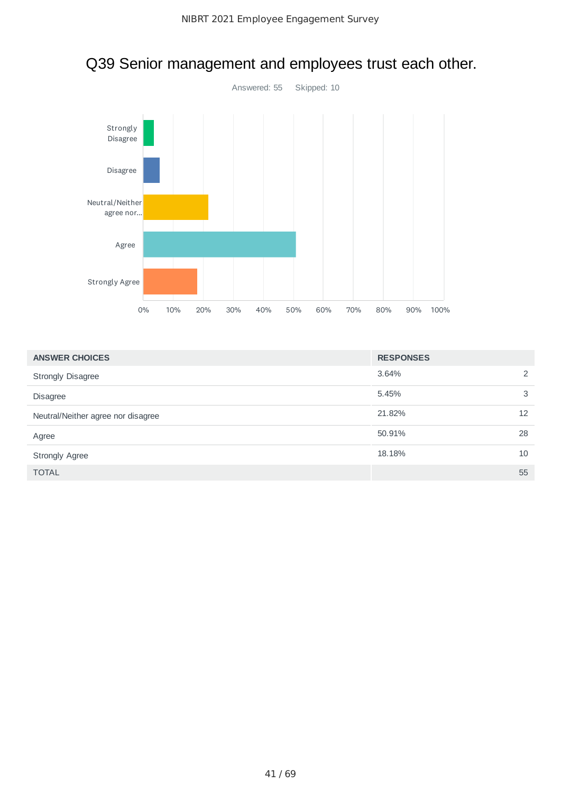

# Q39 Senior management and employees trust each other.

| <b>ANSWER CHOICES</b>              | <b>RESPONSES</b> |    |
|------------------------------------|------------------|----|
| <b>Strongly Disagree</b>           | 3.64%            | 2  |
| <b>Disagree</b>                    | 5.45%            | 3  |
| Neutral/Neither agree nor disagree | 21.82%           | 12 |
| Agree                              | 50.91%           | 28 |
| <b>Strongly Agree</b>              | 18.18%           | 10 |
| <b>TOTAL</b>                       |                  | 55 |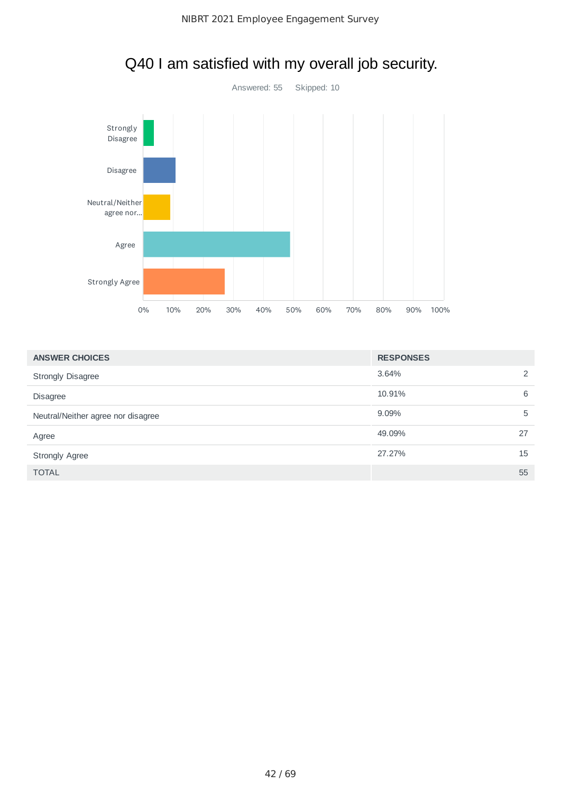

# Q40 I am satisfied with my overall job security.

| <b>ANSWER CHOICES</b>              | <b>RESPONSES</b> |    |
|------------------------------------|------------------|----|
| <b>Strongly Disagree</b>           | 3.64%            | 2  |
| <b>Disagree</b>                    | 10.91%           | 6  |
| Neutral/Neither agree nor disagree | 9.09%            | 5  |
| Agree                              | 49.09%           | 27 |
| <b>Strongly Agree</b>              | 27.27%           | 15 |
| <b>TOTAL</b>                       |                  | 55 |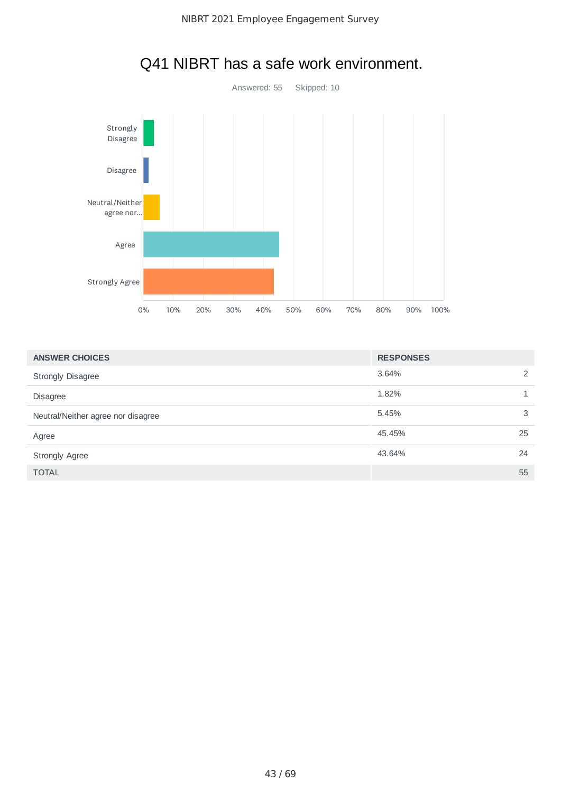

# Q41 NIBRT has a safe work environment.

| <b>ANSWER CHOICES</b>              | <b>RESPONSES</b> |   |
|------------------------------------|------------------|---|
| <b>Strongly Disagree</b>           | 3.64%            | 2 |
| <b>Disagree</b>                    | 1.82%            |   |
| Neutral/Neither agree nor disagree | 5.45%            | 3 |
| Agree                              | 45.45%<br>25     |   |
| <b>Strongly Agree</b>              | 43.64%<br>24     |   |
| <b>TOTAL</b>                       | 55               |   |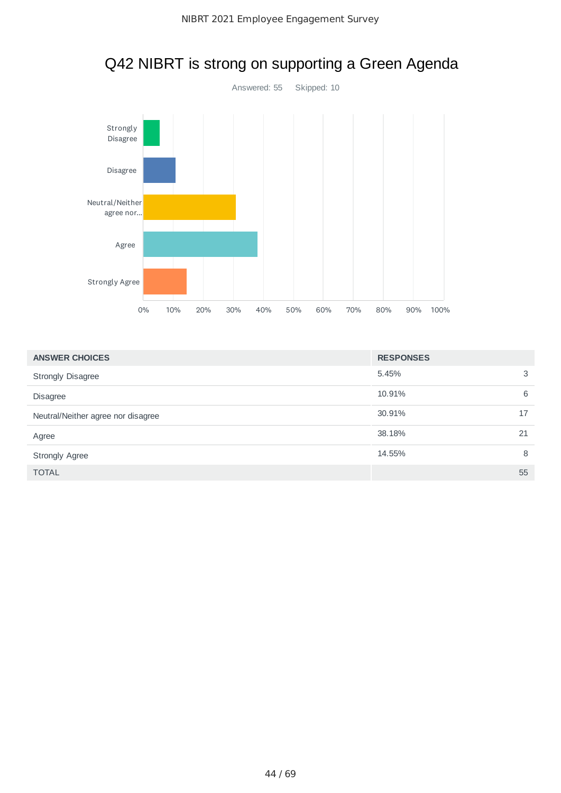

# Q42 NIBRT is strong on supporting a Green Agenda

| <b>ANSWER CHOICES</b>              | <b>RESPONSES</b> |    |
|------------------------------------|------------------|----|
| <b>Strongly Disagree</b>           | 5.45%            | 3  |
| <b>Disagree</b>                    | 10.91%           | 6  |
| Neutral/Neither agree nor disagree | 30.91%           | 17 |
| Agree                              | 38.18%           | 21 |
| <b>Strongly Agree</b>              | 14.55%           | 8  |
| <b>TOTAL</b>                       |                  | 55 |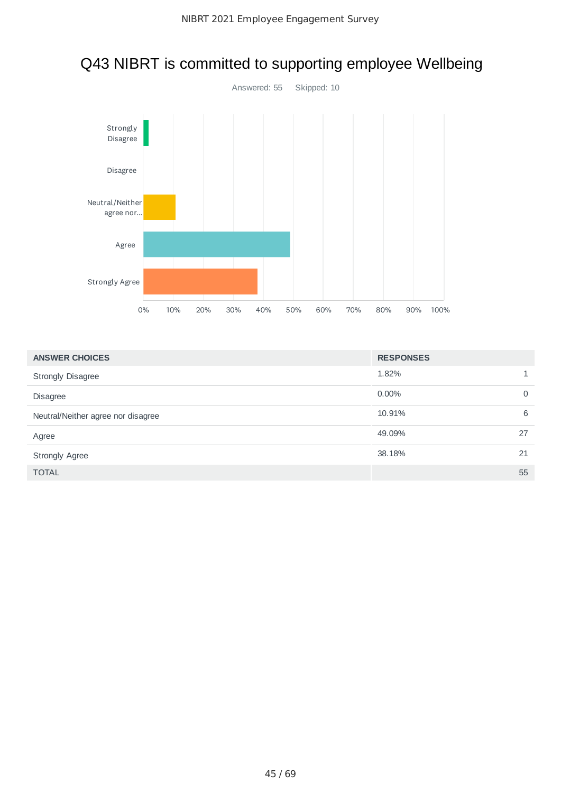

# Q43 NIBRT is committed to supporting employee Wellbeing

| <b>ANSWER CHOICES</b>              | <b>RESPONSES</b> |             |
|------------------------------------|------------------|-------------|
| <b>Strongly Disagree</b>           | 1.82%            |             |
| <b>Disagree</b>                    | $0.00\%$         | $\mathbf 0$ |
| Neutral/Neither agree nor disagree | 10.91%           | 6           |
| Agree                              | 49.09%           | 27          |
| <b>Strongly Agree</b>              | 38.18%           | 21          |
| <b>TOTAL</b>                       |                  | 55          |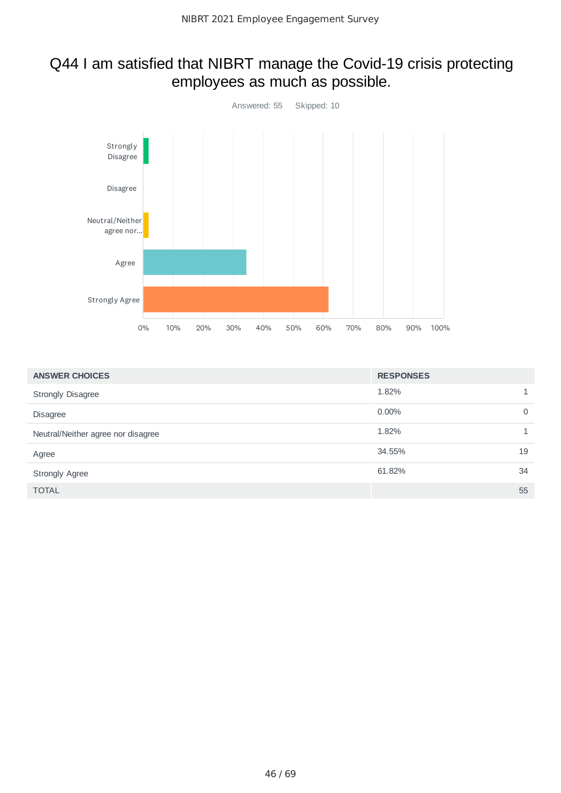### Q44 I am satisfied that NIBRT manage the Covid-19 crisis protecting employees as much as possible.



| <b>ANSWER CHOICES</b>              | <b>RESPONSES</b> |    |
|------------------------------------|------------------|----|
| <b>Strongly Disagree</b>           | 1.82%            |    |
| <b>Disagree</b>                    | 0.00%            | 0  |
| Neutral/Neither agree nor disagree | 1.82%            |    |
| Agree                              | 34.55%           | 19 |
| <b>Strongly Agree</b>              | 61.82%           | 34 |
| <b>TOTAL</b>                       |                  | 55 |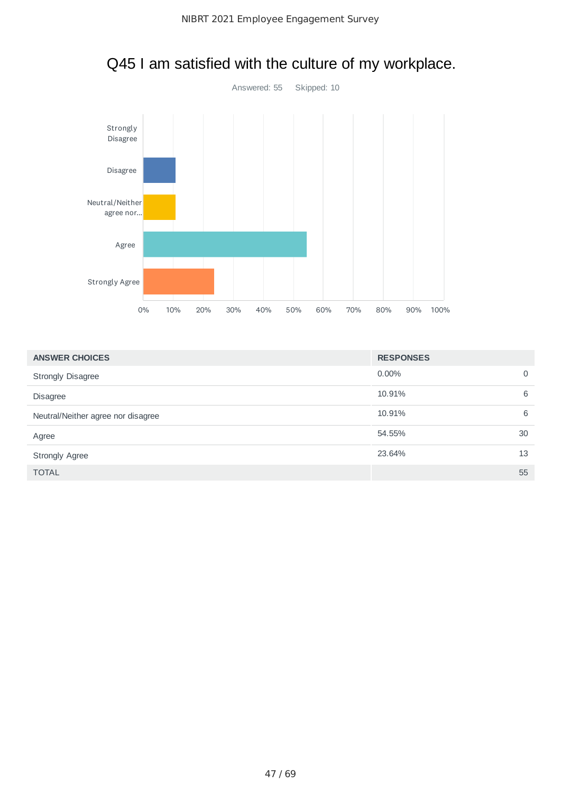

# Q45 I am satisfied with the culture of my workplace.

| <b>ANSWER CHOICES</b>              | <b>RESPONSES</b> |             |
|------------------------------------|------------------|-------------|
| <b>Strongly Disagree</b>           | $0.00\%$         | $\mathbf 0$ |
| <b>Disagree</b>                    | 10.91%           | 6           |
| Neutral/Neither agree nor disagree | 10.91%           | 6           |
| Agree                              | 54.55%           | 30          |
| <b>Strongly Agree</b>              | 23.64%           | 13          |
| <b>TOTAL</b>                       |                  | 55          |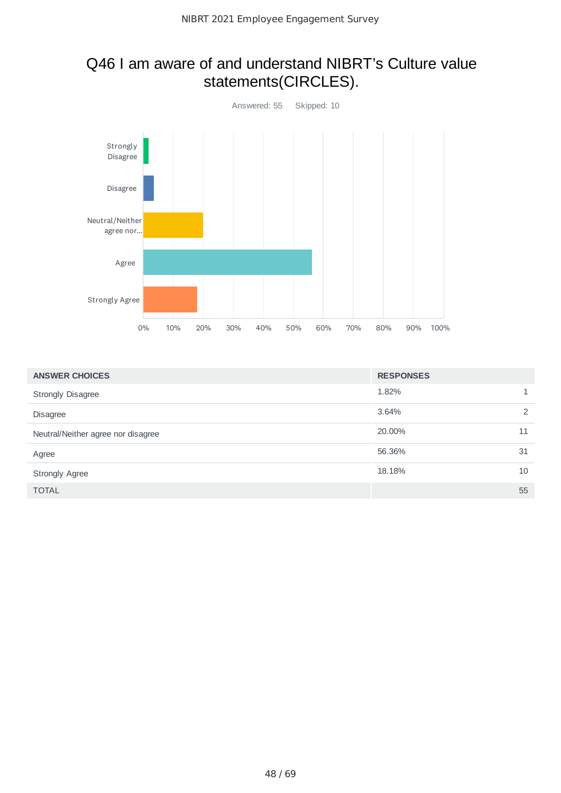### Q46 I am aware of and understand NIBRT's Culture value statements(CIRCLES).



| <b>ANSWER CHOICES</b>              | <b>RESPONSES</b> |    |
|------------------------------------|------------------|----|
| <b>Strongly Disagree</b>           | 1.82%            |    |
| <b>Disagree</b>                    | 3.64%            | 2  |
| Neutral/Neither agree nor disagree | 20,00%           | 11 |
| Agree                              | 56.36%           | 31 |
| <b>Strongly Agree</b>              | 18.18%           | 10 |
| <b>TOTAL</b>                       |                  | 55 |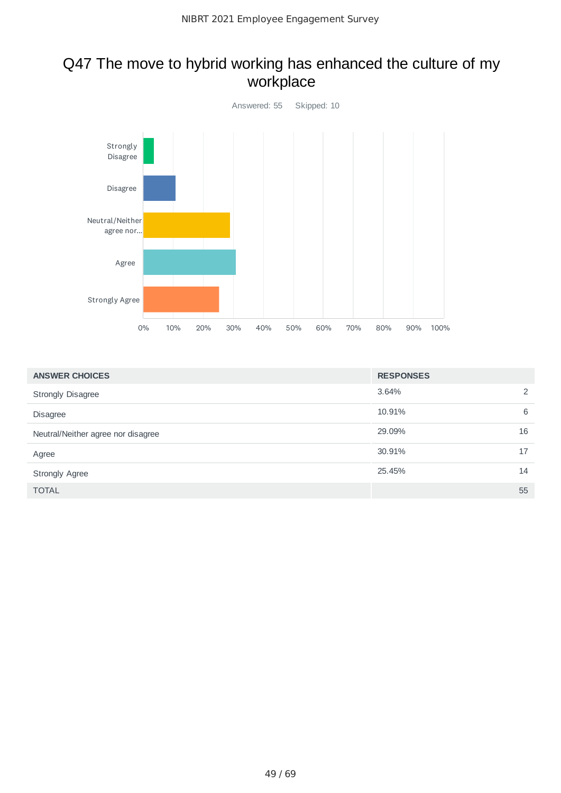## Q47 The move to hybrid working has enhanced the culture of my workplace



| <b>ANSWER CHOICES</b>              | <b>RESPONSES</b> |    |
|------------------------------------|------------------|----|
| <b>Strongly Disagree</b>           | 3.64%            | 2  |
| <b>Disagree</b>                    | 10.91%           | 6  |
| Neutral/Neither agree nor disagree | 29.09%           | 16 |
| Agree                              | 30.91%           | 17 |
| <b>Strongly Agree</b>              | 25.45%           | 14 |
| <b>TOTAL</b>                       |                  | 55 |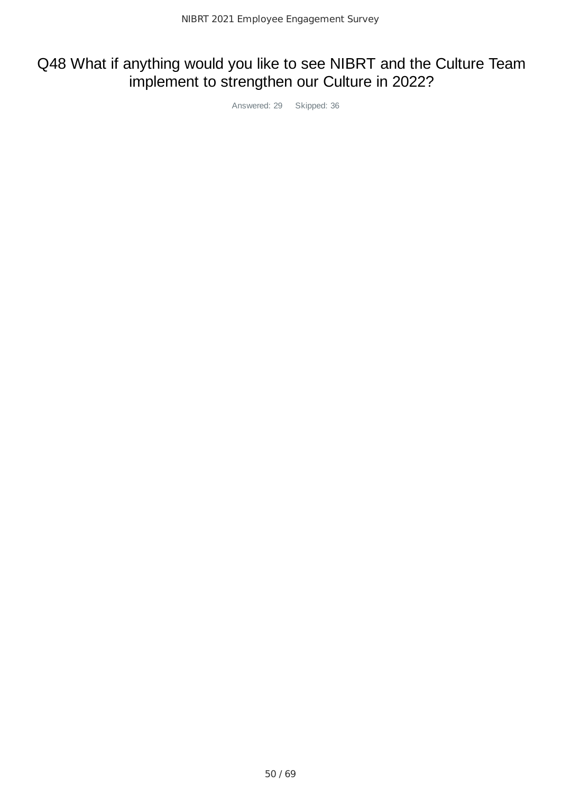### Q48 What if anything would you like to see NIBRT and the Culture Team implement to strengthen our Culture in 2022?

Answered: 29 Skipped: 36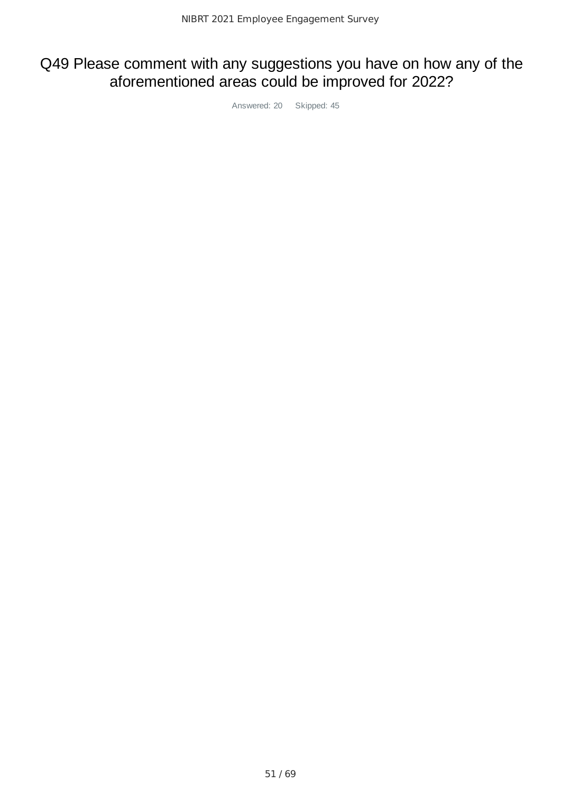### Q49 Please comment with any suggestions you have on how any of the aforementioned areas could be improved for 2022?

Answered: 20 Skipped: 45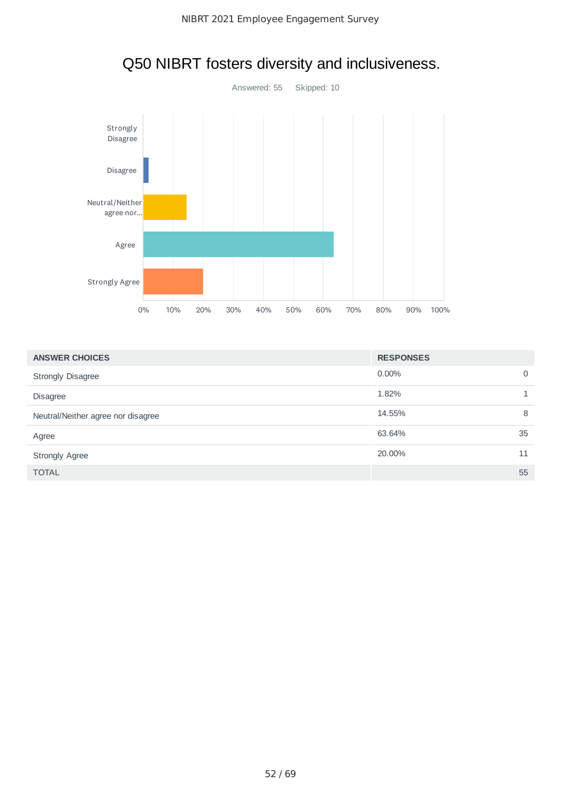

# Q50 NIBRT fosters diversity and inclusiveness.

| <b>ANSWER CHOICES</b>              | <b>RESPONSES</b> |             |
|------------------------------------|------------------|-------------|
| <b>Strongly Disagree</b>           | $0.00\%$         | $\mathbf 0$ |
| <b>Disagree</b>                    | 1.82%            |             |
| Neutral/Neither agree nor disagree | 14.55%           | 8           |
| Agree                              | 63.64%           | 35          |
| <b>Strongly Agree</b>              | 20,00%           | 11          |
| <b>TOTAL</b>                       |                  | 55          |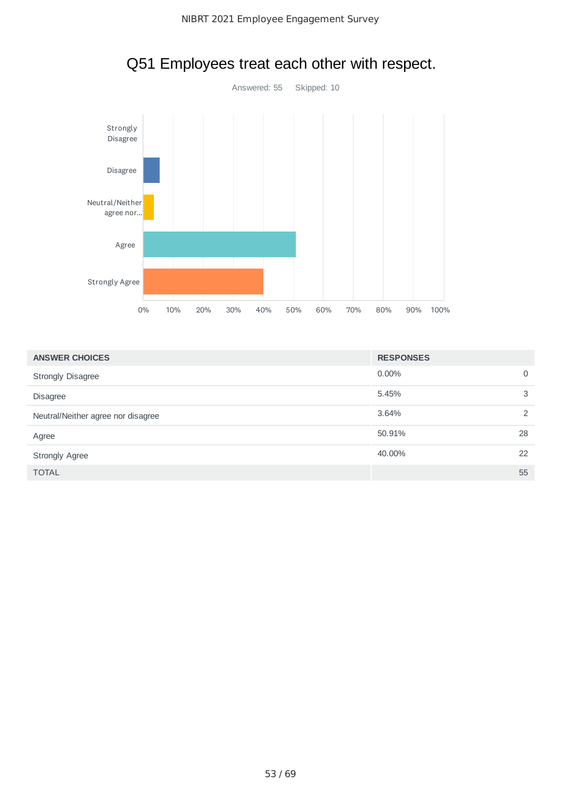

# Q51 Employees treat each other with respect.

| <b>ANSWER CHOICES</b>              | <b>RESPONSES</b> |             |
|------------------------------------|------------------|-------------|
| <b>Strongly Disagree</b>           | $0.00\%$         | $\mathbf 0$ |
| <b>Disagree</b>                    | 5.45%            | 3           |
| Neutral/Neither agree nor disagree | 3.64%            | 2           |
| Agree                              | 50.91%           | 28          |
| <b>Strongly Agree</b>              | 40.00%           | 22          |
| <b>TOTAL</b>                       |                  | 55          |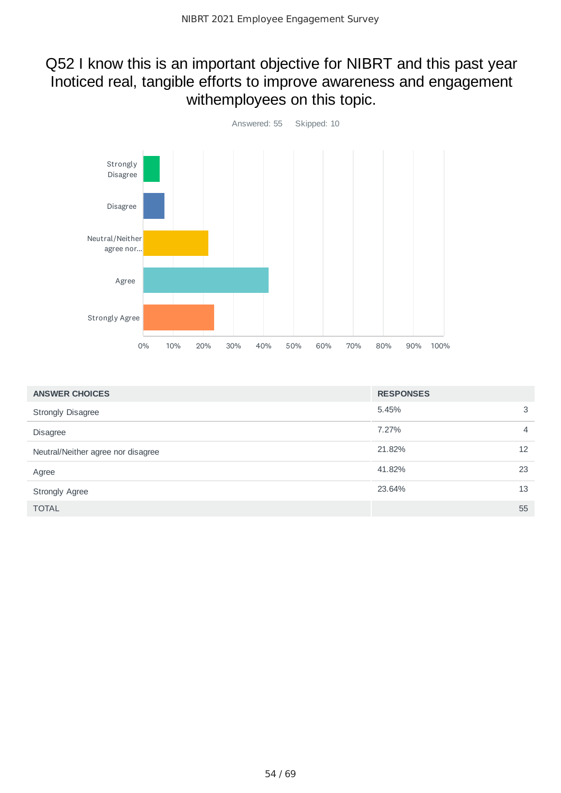#### Q52 I know this is an important objective for NIBRT and this past year Inoticed real, tangible efforts to improve awareness and engagement withemployees on this topic.



| <b>ANSWER CHOICES</b>              | <b>RESPONSES</b> |                 |
|------------------------------------|------------------|-----------------|
| <b>Strongly Disagree</b>           | 5.45%            | 3               |
| <b>Disagree</b>                    | 7.27%            | 4               |
| Neutral/Neither agree nor disagree | 21.82%           | 12 <sup>2</sup> |
| Agree                              | 41.82%           | 23              |
| <b>Strongly Agree</b>              | 23.64%           | 13              |
| <b>TOTAL</b>                       |                  | 55              |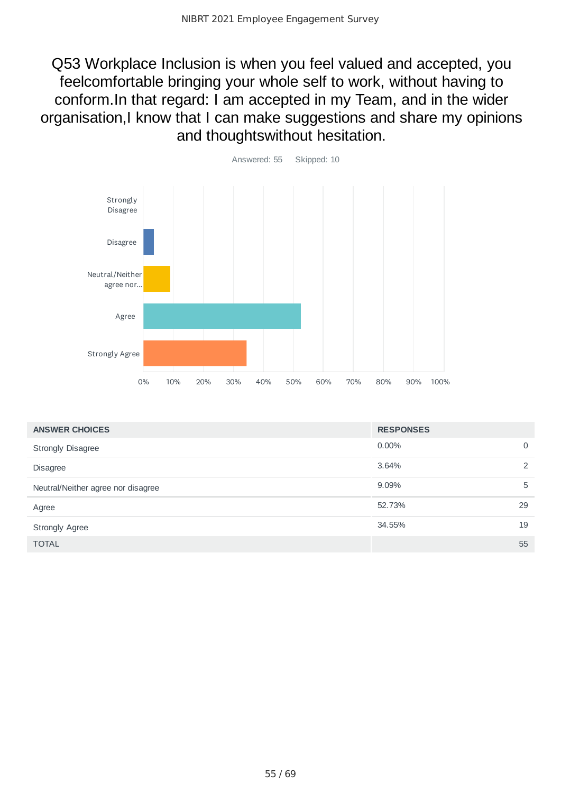Q53 Workplace Inclusion is when you feel valued and accepted, you feelcomfortable bringing your whole self to work, without having to conform.In that regard: I am accepted in my Team, and in the wider organisation,I know that I can make suggestions and share my opinions and thoughtswithout hesitation.



| <b>ANSWER CHOICES</b>              | <b>RESPONSES</b> |    |
|------------------------------------|------------------|----|
| <b>Strongly Disagree</b>           | $0.00\%$         | 0  |
| <b>Disagree</b>                    | 3.64%            | 2  |
| Neutral/Neither agree nor disagree | 9.09%            | 5  |
| Agree                              | 52.73%           | 29 |
| <b>Strongly Agree</b>              | 34.55%           | 19 |
| <b>TOTAL</b>                       |                  | 55 |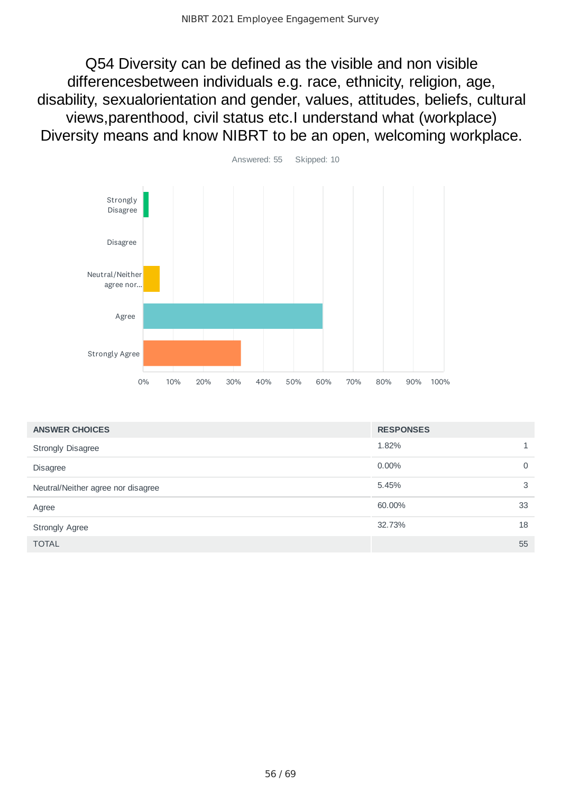Q54 Diversity can be defined as the visible and non visible differencesbetween individuals e.g. race, ethnicity, religion, age, disability, sexualorientation and gender, values, attitudes, beliefs, cultural views,parenthood, civil status etc.I understand what (workplace) Diversity means and know NIBRT to be an open, welcoming workplace.



| <b>ANSWER CHOICES</b>              | <b>RESPONSES</b> |    |
|------------------------------------|------------------|----|
| <b>Strongly Disagree</b>           | 1.82%            |    |
| <b>Disagree</b>                    | 0.00%            | 0  |
| Neutral/Neither agree nor disagree | 5.45%            | 3  |
| Agree                              | 60.00%           | 33 |
| <b>Strongly Agree</b>              | 32.73%           | 18 |
| <b>TOTAL</b>                       |                  | 55 |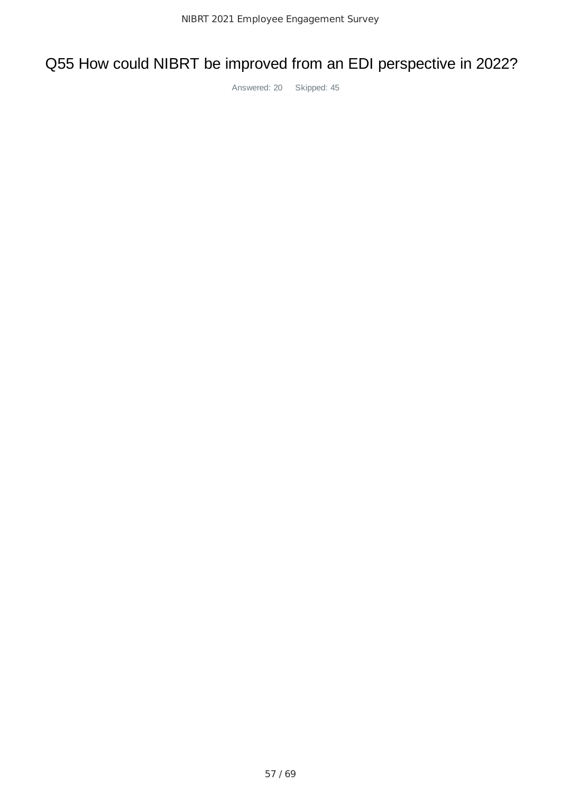# Q55 How could NIBRT be improved from an EDI perspective in 2022?

Answered: 20 Skipped: 45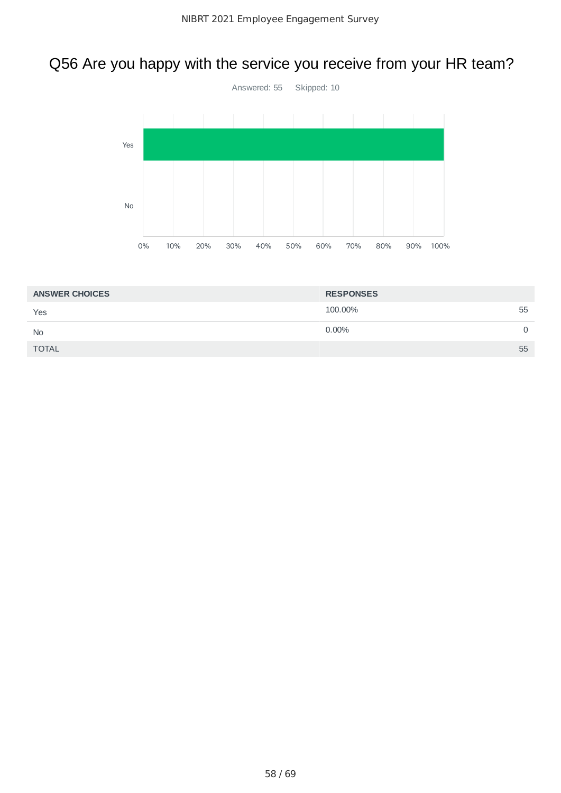# Q56 Are you happy with the service you receive from your HR team?



| <b>ANSWER CHOICES</b> | <b>RESPONSES</b> |    |
|-----------------------|------------------|----|
| Yes                   | 100,00%          | 55 |
| <b>No</b>             | $0.00\%$         |    |
| <b>TOTAL</b>          |                  | 55 |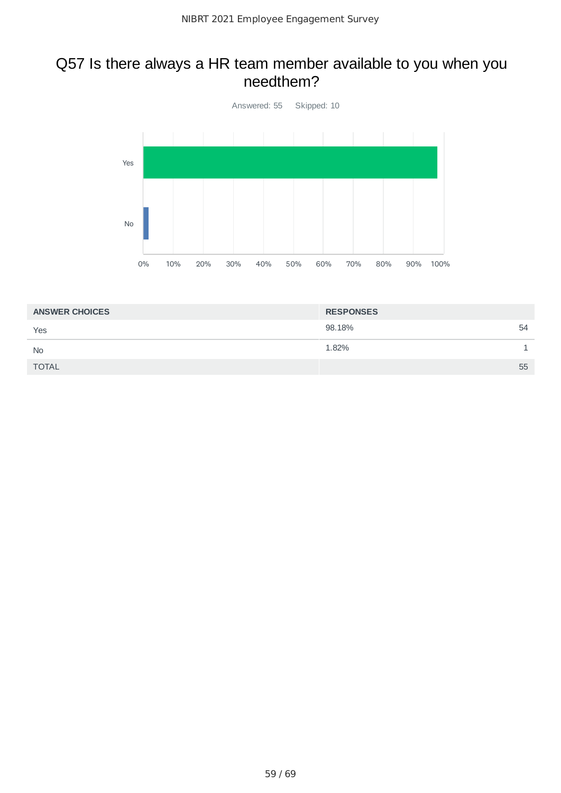#### Q57 Is there always a HR team member available to you when you needthem?



| <b>ANSWER CHOICES</b> | <b>RESPONSES</b> |
|-----------------------|------------------|
| Yes                   | 98.18%<br>54     |
| <b>No</b>             | 1.82%            |
| <b>TOTAL</b>          | 55               |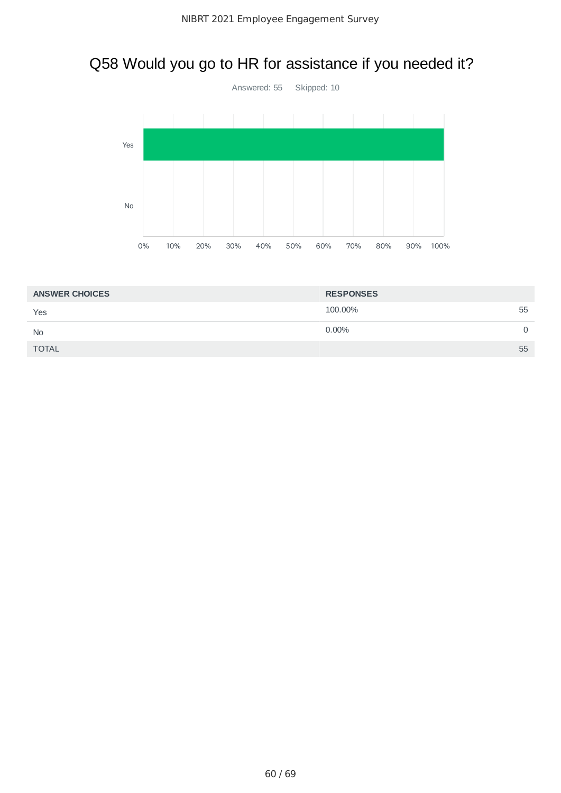# Q58 Would you go to HR for assistance if you needed it?



| <b>ANSWER CHOICES</b> | <b>RESPONSES</b> |    |
|-----------------------|------------------|----|
| Yes                   | 100,00%          | 55 |
| <b>No</b>             | $0.00\%$         |    |
| <b>TOTAL</b>          |                  | 55 |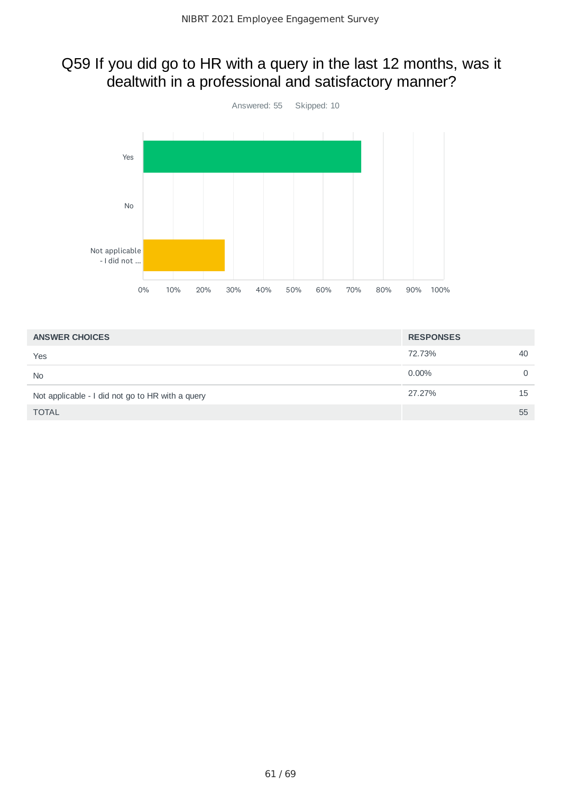### Q59 If you did go to HR with a query in the last 12 months, was it dealtwith in a professional and satisfactory manner?



| <b>ANSWER CHOICES</b>                            | <b>RESPONSES</b> |    |
|--------------------------------------------------|------------------|----|
| Yes                                              | 72.73%           | 40 |
| <b>No</b>                                        | $0.00\%$         | 0  |
| Not applicable - I did not go to HR with a query | 27.27%           | 15 |
| <b>TOTAL</b>                                     |                  | 55 |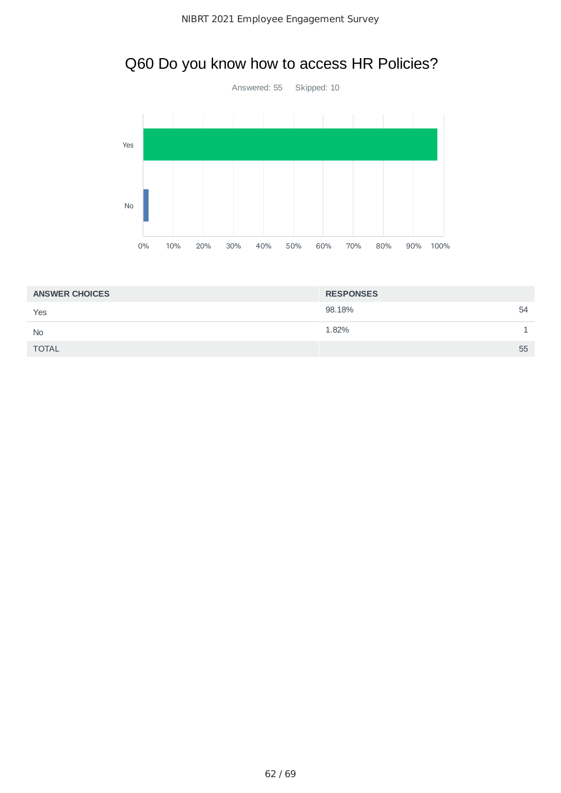# Q60 Do you know how to access HR Policies?



| <b>ANSWER CHOICES</b> | <b>RESPONSES</b> |  |
|-----------------------|------------------|--|
| Yes                   | 98.18%<br>54     |  |
| <b>No</b>             | 1.82%            |  |
| <b>TOTAL</b>          | 55               |  |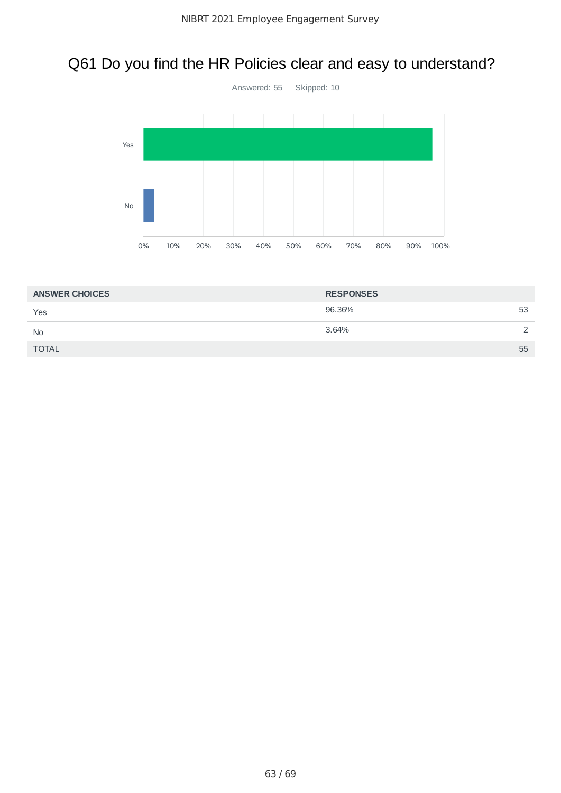# Q61 Do you find the HR Policies clear and easy to understand?



| <b>ANSWER CHOICES</b> | <b>RESPONSES</b> |               |
|-----------------------|------------------|---------------|
| Yes                   | 96.36%           | 53            |
| <b>No</b>             | 3.64%            | $\mathcal{L}$ |
| <b>TOTAL</b>          |                  | 55            |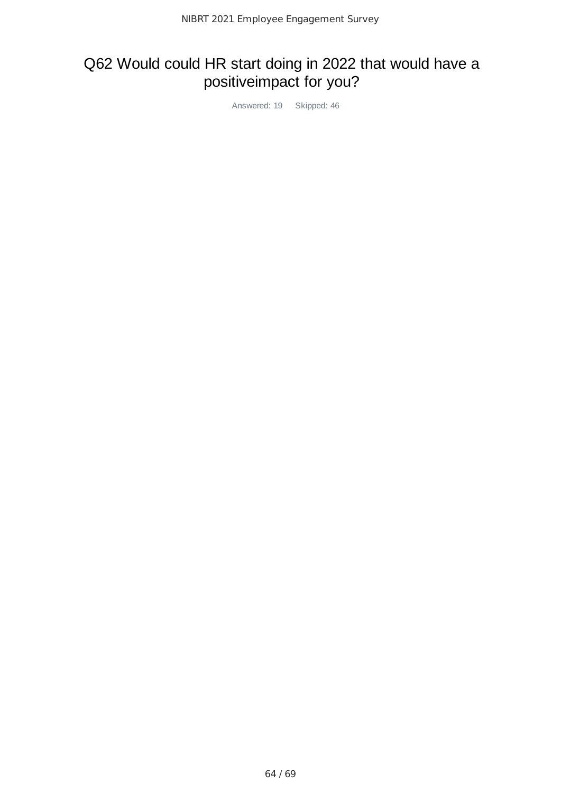# Q62 Would could HR start doing in 2022 that would have a positiveimpact for you?

Answered: 19 Skipped: 46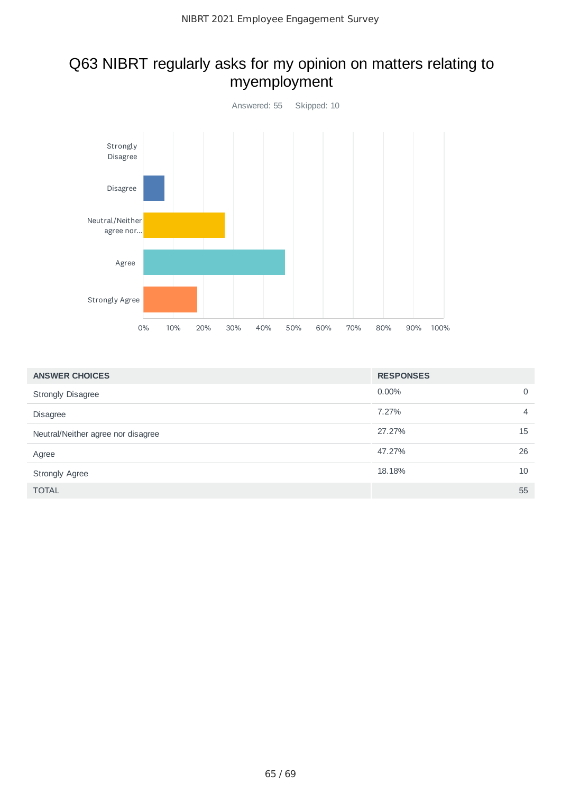## Q63 NIBRT regularly asks for my opinion on matters relating to myemployment



| <b>ANSWER CHOICES</b>              | <b>RESPONSES</b> |                |
|------------------------------------|------------------|----------------|
| <b>Strongly Disagree</b>           | $0.00\%$         | $\mathbf 0$    |
| <b>Disagree</b>                    | 7.27%            | $\overline{4}$ |
| Neutral/Neither agree nor disagree | 27.27%           | 15             |
| Agree                              | 47.27%           | 26             |
| <b>Strongly Agree</b>              | 18.18%           | 10             |
| <b>TOTAL</b>                       |                  | 55             |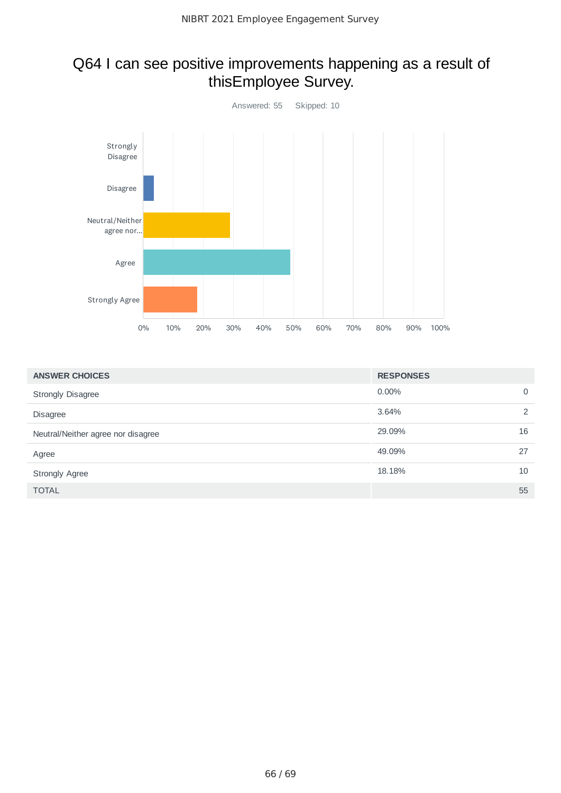### Q64 I can see positive improvements happening as a result of thisEmployee Survey.



| <b>ANSWER CHOICES</b>              | <b>RESPONSES</b> |             |
|------------------------------------|------------------|-------------|
| <b>Strongly Disagree</b>           | $0.00\%$         | $\mathbf 0$ |
| <b>Disagree</b>                    | 3.64%            | 2           |
| Neutral/Neither agree nor disagree | 29.09%           | 16          |
| Agree                              | 49.09%           | 27          |
| <b>Strongly Agree</b>              | 18.18%           | 10          |
| <b>TOTAL</b>                       |                  | 55          |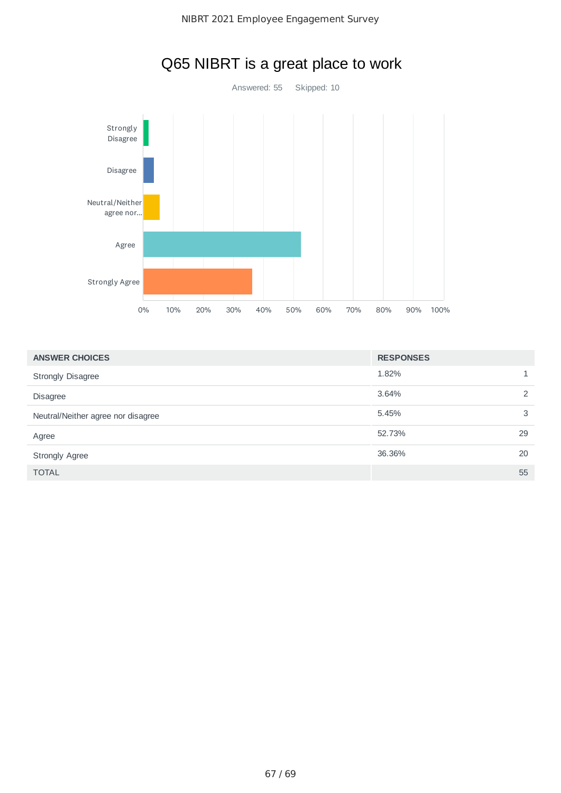

# Q65 NIBRT is a great place to work

| <b>ANSWER CHOICES</b>              | <b>RESPONSES</b> |    |
|------------------------------------|------------------|----|
| <b>Strongly Disagree</b>           | 1.82%            |    |
| <b>Disagree</b>                    | 3.64%            | 2  |
| Neutral/Neither agree nor disagree | 5.45%            | 3  |
| Agree                              | 52.73%           | 29 |
| <b>Strongly Agree</b>              | 36.36%           | 20 |
| <b>TOTAL</b>                       |                  | 55 |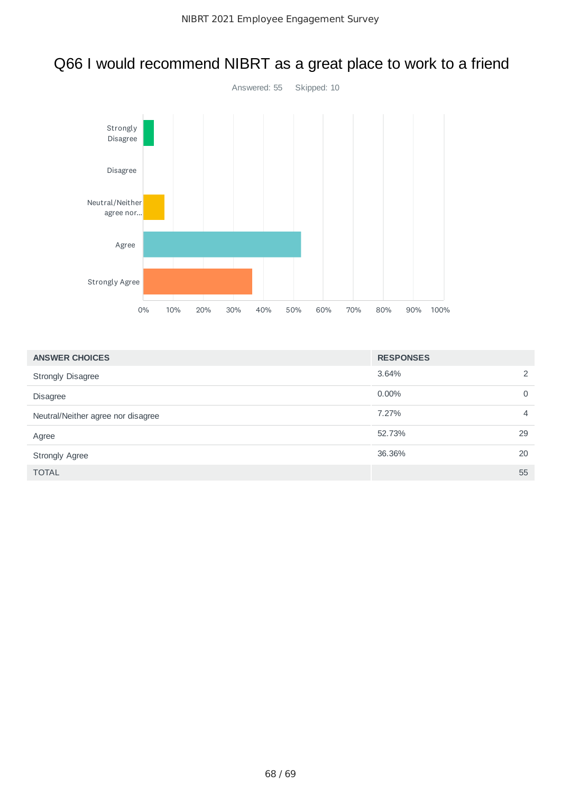# Q66 I would recommend NIBRT as a great place to work to a friend



| <b>ANSWER CHOICES</b>              | <b>RESPONSES</b> |                |
|------------------------------------|------------------|----------------|
| <b>Strongly Disagree</b>           | 3.64%            | $\overline{2}$ |
| <b>Disagree</b>                    | $0.00\%$         | $\mathbf 0$    |
| Neutral/Neither agree nor disagree | 7.27%            | $\overline{4}$ |
| Agree                              | 52.73%           | 29             |
| <b>Strongly Agree</b>              | 36.36%           | 20             |
| <b>TOTAL</b>                       |                  | 55             |